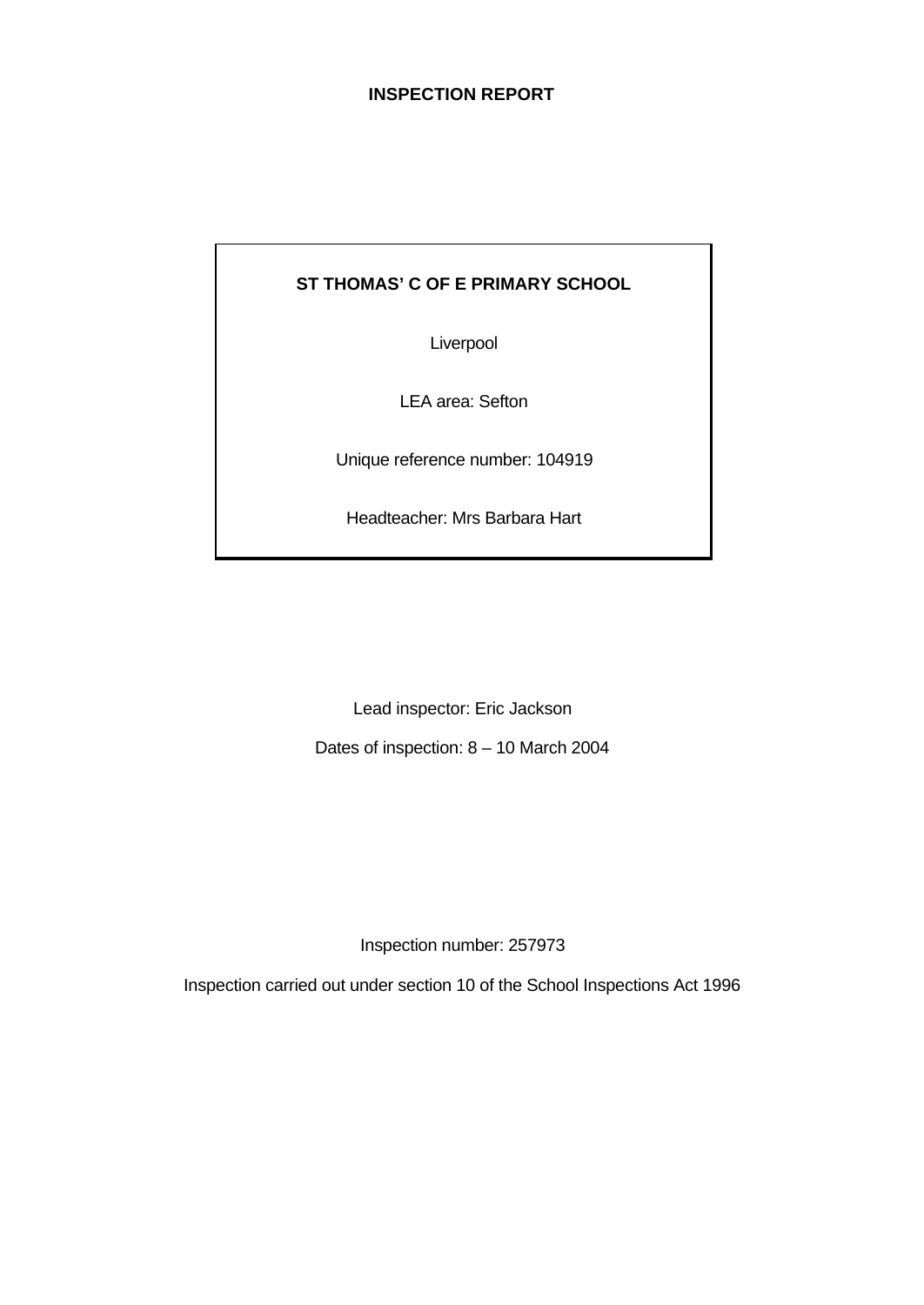# **INSPECTION REPORT**

# **ST THOMAS' C OF E PRIMARY SCHOOL**

Liverpool

LEA area: Sefton

Unique reference number: 104919

Headteacher: Mrs Barbara Hart

Lead inspector: Eric Jackson

Dates of inspection: 8 – 10 March 2004

Inspection number: 257973

Inspection carried out under section 10 of the School Inspections Act 1996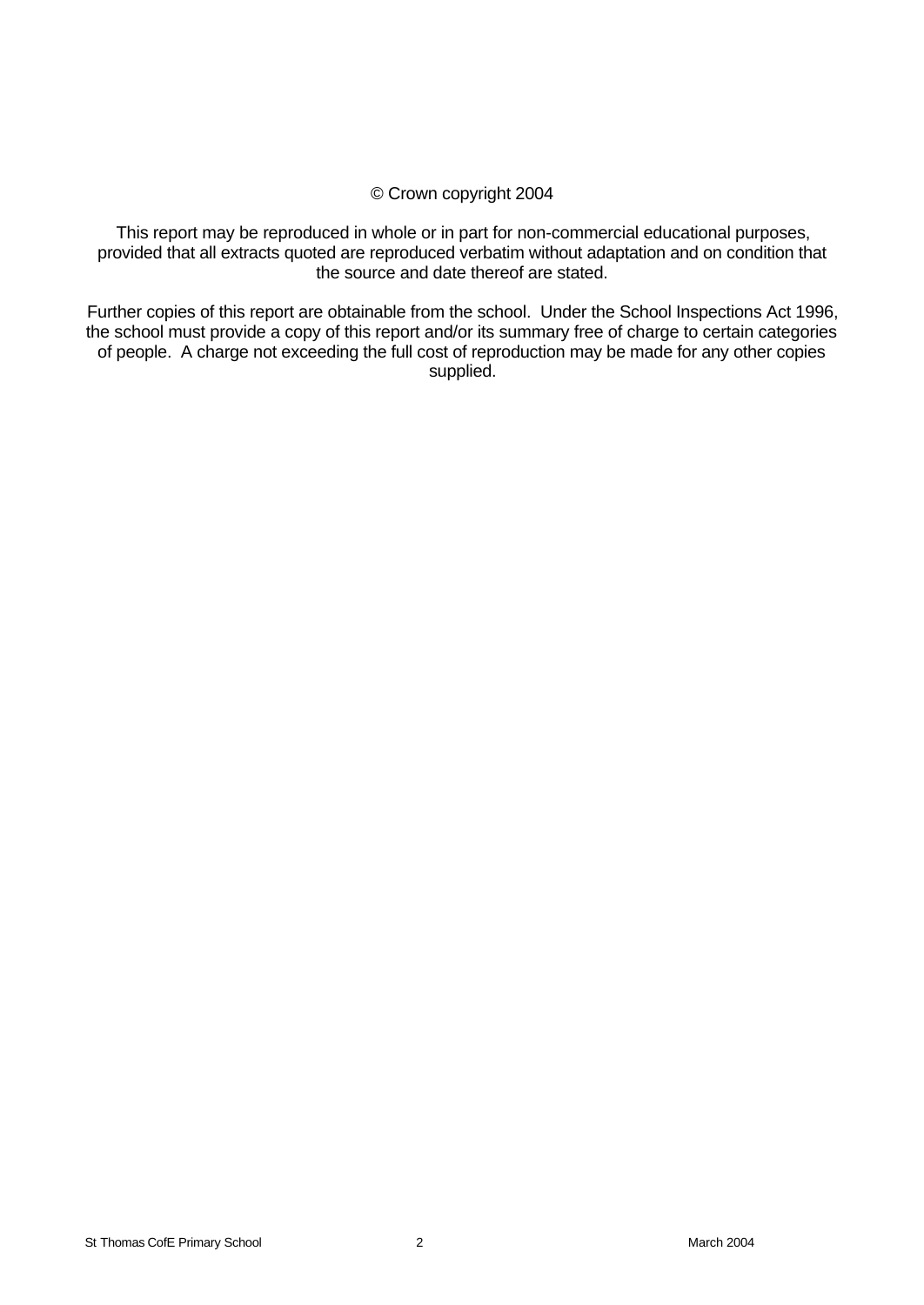# © Crown copyright 2004

This report may be reproduced in whole or in part for non-commercial educational purposes, provided that all extracts quoted are reproduced verbatim without adaptation and on condition that the source and date thereof are stated.

Further copies of this report are obtainable from the school. Under the School Inspections Act 1996, the school must provide a copy of this report and/or its summary free of charge to certain categories of people. A charge not exceeding the full cost of reproduction may be made for any other copies supplied.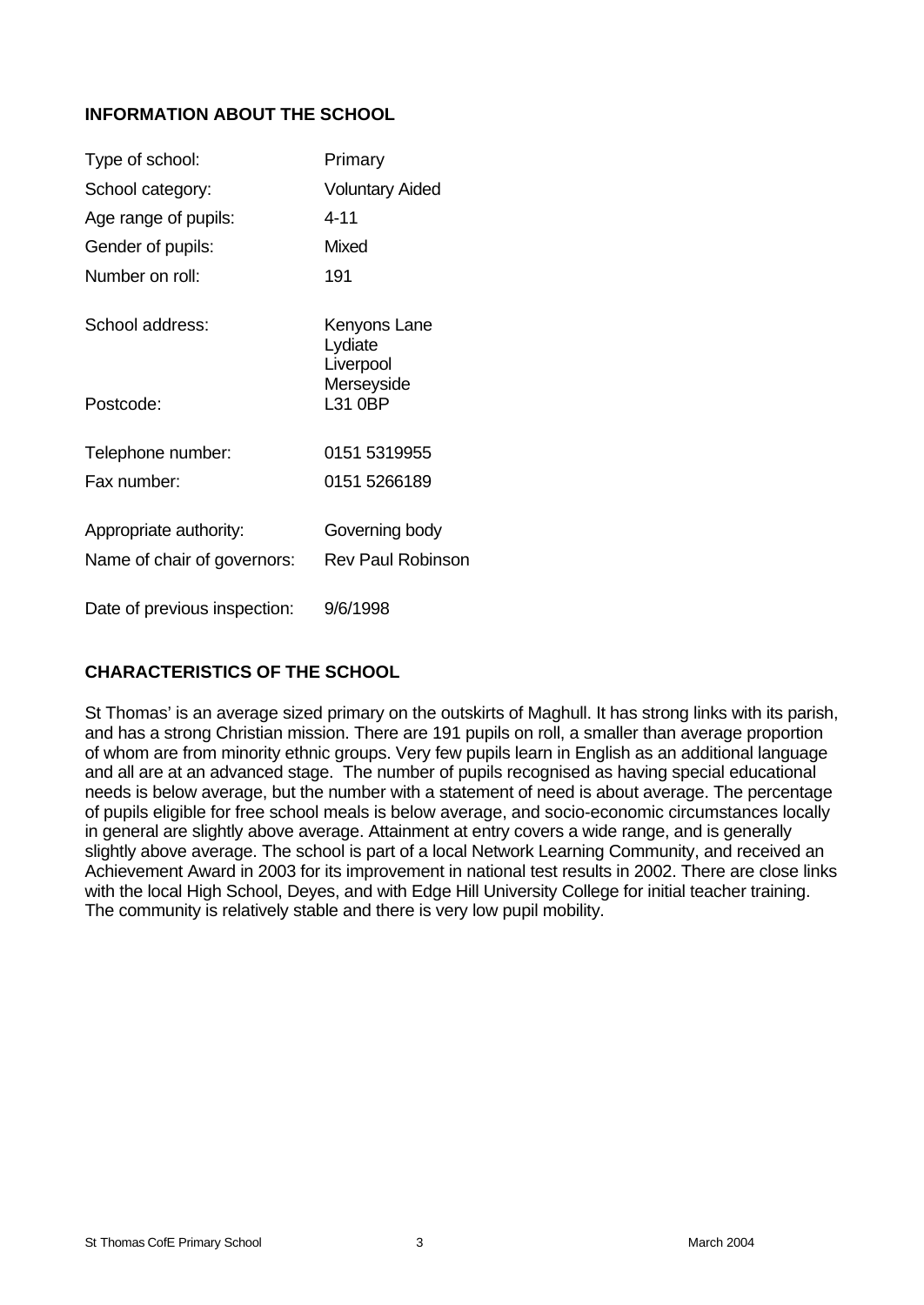# **INFORMATION ABOUT THE SCHOOL**

| Type of school:              | Primary                              |
|------------------------------|--------------------------------------|
| School category:             | <b>Voluntary Aided</b>               |
| Age range of pupils:         | 4-11                                 |
| Gender of pupils:            | Mixed                                |
| Number on roll:              | 191                                  |
| School address:              | Kenyons Lane<br>Lydiate<br>Liverpool |
| Postcode:                    | Merseyside<br>L31 0BP                |
| Telephone number:            | 0151 5319955                         |
| Fax number:                  | 0151 5266189                         |
| Appropriate authority:       | Governing body                       |
| Name of chair of governors:  | <b>Rev Paul Robinson</b>             |
| Date of previous inspection: | 9/6/1998                             |

# **CHARACTERISTICS OF THE SCHOOL**

St Thomas' is an average sized primary on the outskirts of Maghull. It has strong links with its parish, and has a strong Christian mission. There are 191 pupils on roll, a smaller than average proportion of whom are from minority ethnic groups. Very few pupils learn in English as an additional language and all are at an advanced stage. The number of pupils recognised as having special educational needs is below average, but the number with a statement of need is about average. The percentage of pupils eligible for free school meals is below average, and socio-economic circumstances locally in general are slightly above average. Attainment at entry covers a wide range, and is generally slightly above average. The school is part of a local Network Learning Community, and received an Achievement Award in 2003 for its improvement in national test results in 2002. There are close links with the local High School, Deyes, and with Edge Hill University College for initial teacher training. The community is relatively stable and there is very low pupil mobility.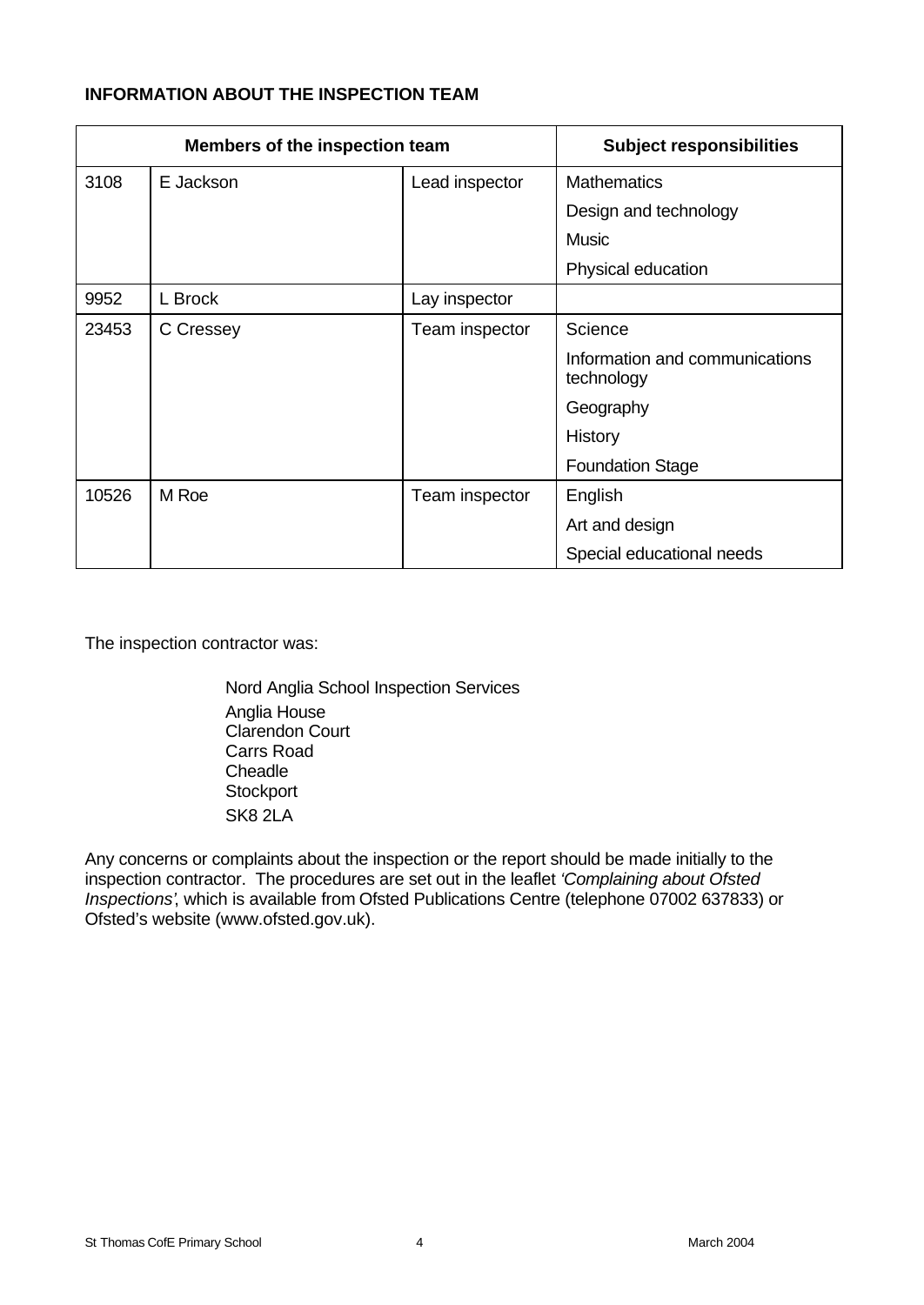# **INFORMATION ABOUT THE INSPECTION TEAM**

| Members of the inspection team |           |                | <b>Subject responsibilities</b>              |
|--------------------------------|-----------|----------------|----------------------------------------------|
| 3108                           | E Jackson | Lead inspector | <b>Mathematics</b>                           |
|                                |           |                | Design and technology                        |
|                                |           |                | <b>Music</b>                                 |
|                                |           |                | Physical education                           |
| 9952                           | L Brock   | Lay inspector  |                                              |
| 23453                          | C Cressey | Team inspector | Science                                      |
|                                |           |                | Information and communications<br>technology |
|                                |           |                | Geography                                    |
|                                |           |                | History                                      |
|                                |           |                | <b>Foundation Stage</b>                      |
| 10526                          | M Roe     | Team inspector | English                                      |
|                                |           |                | Art and design                               |
|                                |           |                | Special educational needs                    |

The inspection contractor was:

Nord Anglia School Inspection Services Anglia House Clarendon Court Carrs Road **Cheadle Stockport** SK8 2LA

Any concerns or complaints about the inspection or the report should be made initially to the inspection contractor. The procedures are set out in the leaflet *'Complaining about Ofsted Inspections'*, which is available from Ofsted Publications Centre (telephone 07002 637833) or Ofsted's website (www.ofsted.gov.uk).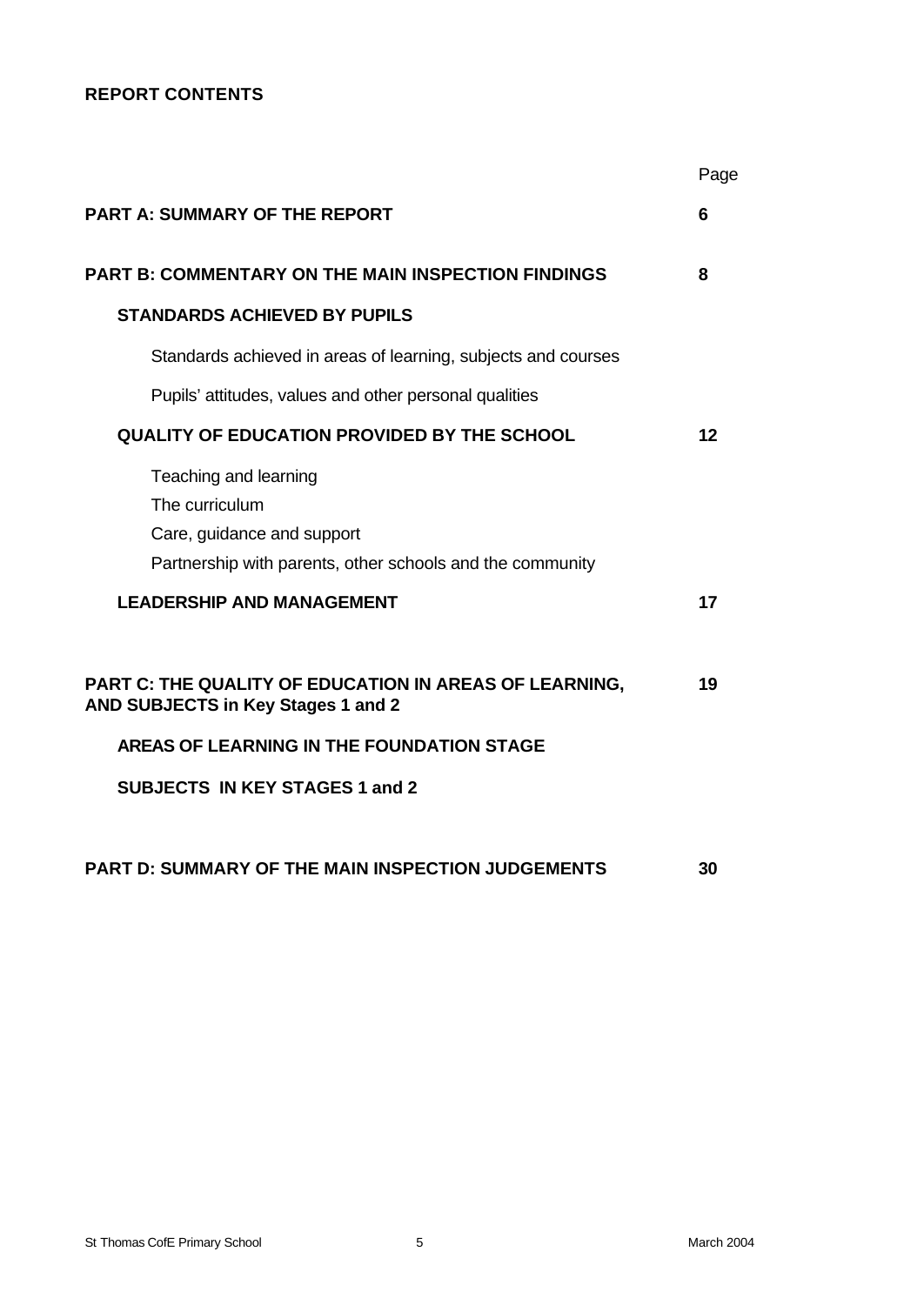# **REPORT CONTENTS**

|                                                                                                                                    | Page    |
|------------------------------------------------------------------------------------------------------------------------------------|---------|
| <b>PART A: SUMMARY OF THE REPORT</b>                                                                                               | 6       |
| <b>PART B: COMMENTARY ON THE MAIN INSPECTION FINDINGS</b>                                                                          | 8       |
| <b>STANDARDS ACHIEVED BY PUPILS</b>                                                                                                |         |
| Standards achieved in areas of learning, subjects and courses                                                                      |         |
| Pupils' attitudes, values and other personal qualities                                                                             |         |
| <b>QUALITY OF EDUCATION PROVIDED BY THE SCHOOL</b>                                                                                 | $12 \,$ |
| Teaching and learning<br>The curriculum<br>Care, guidance and support<br>Partnership with parents, other schools and the community |         |
| <b>LEADERSHIP AND MANAGEMENT</b>                                                                                                   | 17      |
| PART C: THE QUALITY OF EDUCATION IN AREAS OF LEARNING,<br>AND SUBJECTS in Key Stages 1 and 2                                       | 19      |
| <b>AREAS OF LEARNING IN THE FOUNDATION STAGE</b>                                                                                   |         |
| <b>SUBJECTS IN KEY STAGES 1 and 2</b>                                                                                              |         |
| <b>PART D: SUMMARY OF THE MAIN INSPECTION JUDGEMENTS</b>                                                                           | 30      |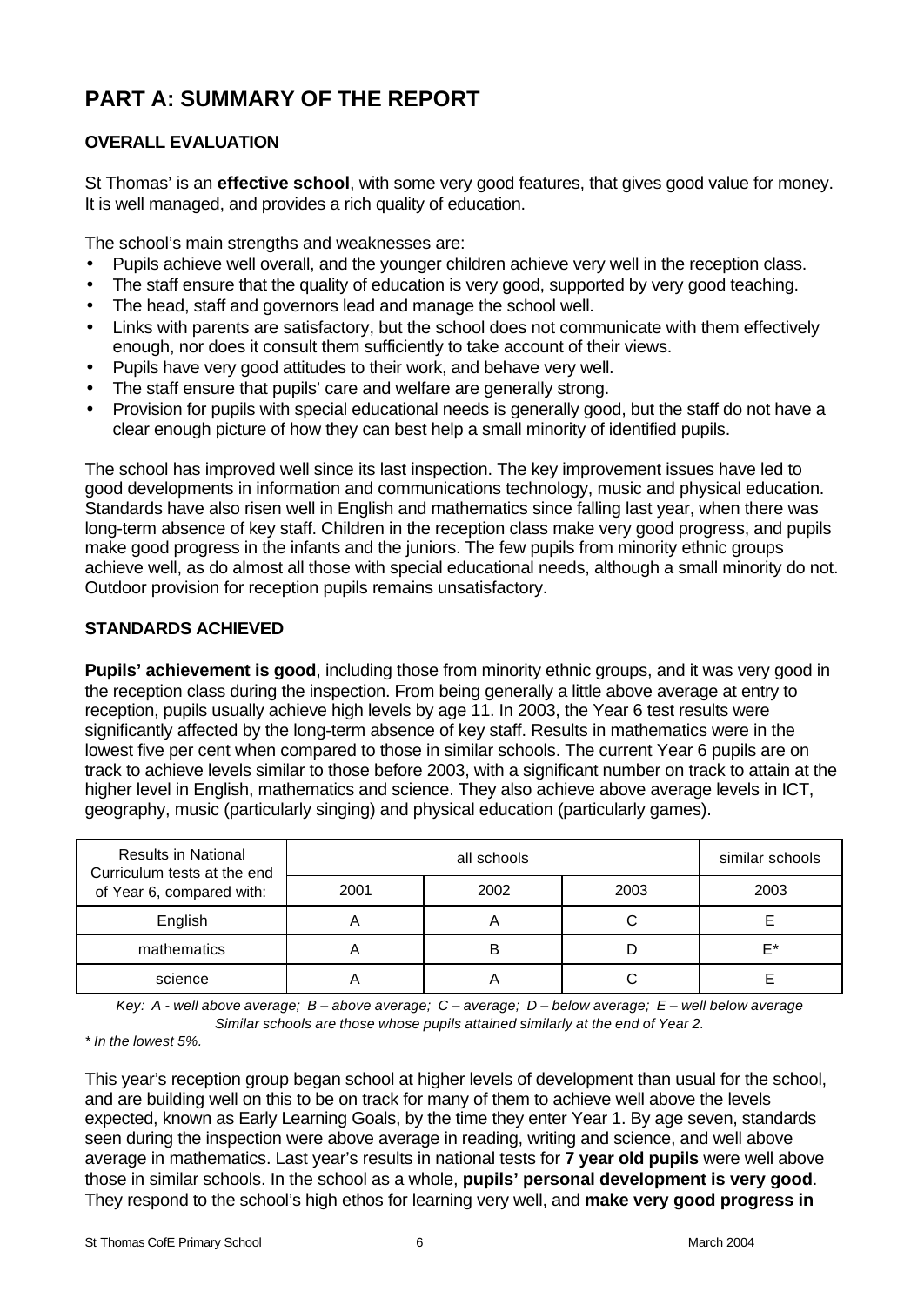# **PART A: SUMMARY OF THE REPORT**

# **OVERALL EVALUATION**

St Thomas' is an **effective school**, with some very good features, that gives good value for money. It is well managed, and provides a rich quality of education.

The school's main strengths and weaknesses are:

- Pupils achieve well overall, and the younger children achieve very well in the reception class.
- The staff ensure that the quality of education is very good, supported by very good teaching.
- The head, staff and governors lead and manage the school well.
- Links with parents are satisfactory, but the school does not communicate with them effectively enough, nor does it consult them sufficiently to take account of their views.
- Pupils have very good attitudes to their work, and behave very well.
- The staff ensure that pupils' care and welfare are generally strong.
- Provision for pupils with special educational needs is generally good, but the staff do not have a clear enough picture of how they can best help a small minority of identified pupils.

The school has improved well since its last inspection. The key improvement issues have led to good developments in information and communications technology, music and physical education. Standards have also risen well in English and mathematics since falling last year, when there was long-term absence of key staff. Children in the reception class make very good progress, and pupils make good progress in the infants and the juniors. The few pupils from minority ethnic groups achieve well, as do almost all those with special educational needs, although a small minority do not. Outdoor provision for reception pupils remains unsatisfactory.

# **STANDARDS ACHIEVED**

**Pupils' achievement is good**, including those from minority ethnic groups, and it was very good in the reception class during the inspection. From being generally a little above average at entry to reception, pupils usually achieve high levels by age 11. In 2003, the Year 6 test results were significantly affected by the long-term absence of key staff. Results in mathematics were in the lowest five per cent when compared to those in similar schools. The current Year 6 pupils are on track to achieve levels similar to those before 2003, with a significant number on track to attain at the higher level in English, mathematics and science. They also achieve above average levels in ICT, geography, music (particularly singing) and physical education (particularly games).

| <b>Results in National</b><br>Curriculum tests at the end<br>of Year 6, compared with: |      | similar schools |      |      |
|----------------------------------------------------------------------------------------|------|-----------------|------|------|
|                                                                                        | 2001 | 2002            | 2003 | 2003 |
| English                                                                                |      |                 |      |      |
| mathematics                                                                            |      | В               |      | F*   |
| science                                                                                |      |                 |      |      |

*Key: A - well above average; B – above average; C – average; D – below average; E – well below average Similar schools are those whose pupils attained similarly at the end of Year 2.*

*\* In the lowest 5%.*

This year's reception group began school at higher levels of development than usual for the school, and are building well on this to be on track for many of them to achieve well above the levels expected, known as Early Learning Goals, by the time they enter Year 1. By age seven, standards seen during the inspection were above average in reading, writing and science, and well above average in mathematics. Last year's results in national tests for **7 year old pupils** were well above those in similar schools. In the school as a whole, **pupils' personal development is very good**. They respond to the school's high ethos for learning very well, and **make very good progress in**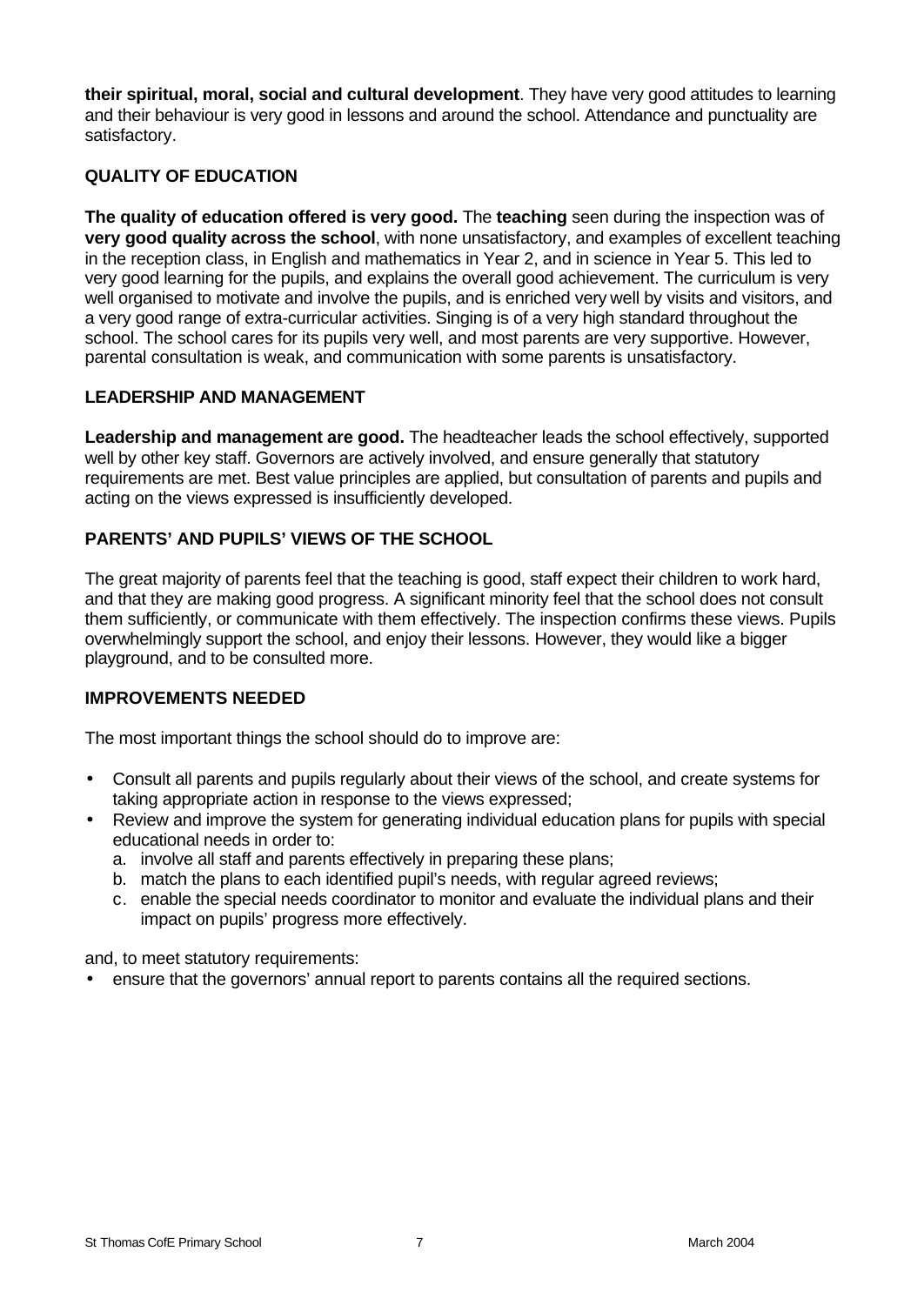**their spiritual, moral, social and cultural development**. They have very good attitudes to learning and their behaviour is very good in lessons and around the school. Attendance and punctuality are satisfactory.

# **QUALITY OF EDUCATION**

**The quality of education offered is very good.** The **teaching** seen during the inspection was of **very good quality across the school**, with none unsatisfactory, and examples of excellent teaching in the reception class, in English and mathematics in Year 2, and in science in Year 5. This led to very good learning for the pupils, and explains the overall good achievement. The curriculum is very well organised to motivate and involve the pupils, and is enriched very well by visits and visitors, and a very good range of extra-curricular activities. Singing is of a very high standard throughout the school. The school cares for its pupils very well, and most parents are very supportive. However, parental consultation is weak, and communication with some parents is unsatisfactory.

#### **LEADERSHIP AND MANAGEMENT**

**Leadership and management are good.** The headteacher leads the school effectively, supported well by other key staff. Governors are actively involved, and ensure generally that statutory requirements are met. Best value principles are applied, but consultation of parents and pupils and acting on the views expressed is insufficiently developed.

# **PARENTS' AND PUPILS' VIEWS OF THE SCHOOL**

The great majority of parents feel that the teaching is good, staff expect their children to work hard, and that they are making good progress. A significant minority feel that the school does not consult them sufficiently, or communicate with them effectively. The inspection confirms these views. Pupils overwhelmingly support the school, and enjoy their lessons. However, they would like a bigger playground, and to be consulted more.

#### **IMPROVEMENTS NEEDED**

The most important things the school should do to improve are:

- Consult all parents and pupils regularly about their views of the school, and create systems for taking appropriate action in response to the views expressed;
- Review and improve the system for generating individual education plans for pupils with special educational needs in order to:
	- a. involve all staff and parents effectively in preparing these plans;
	- b. match the plans to each identified pupil's needs, with regular agreed reviews;
	- c. enable the special needs coordinator to monitor and evaluate the individual plans and their impact on pupils' progress more effectively.

and, to meet statutory requirements:

• ensure that the governors' annual report to parents contains all the required sections.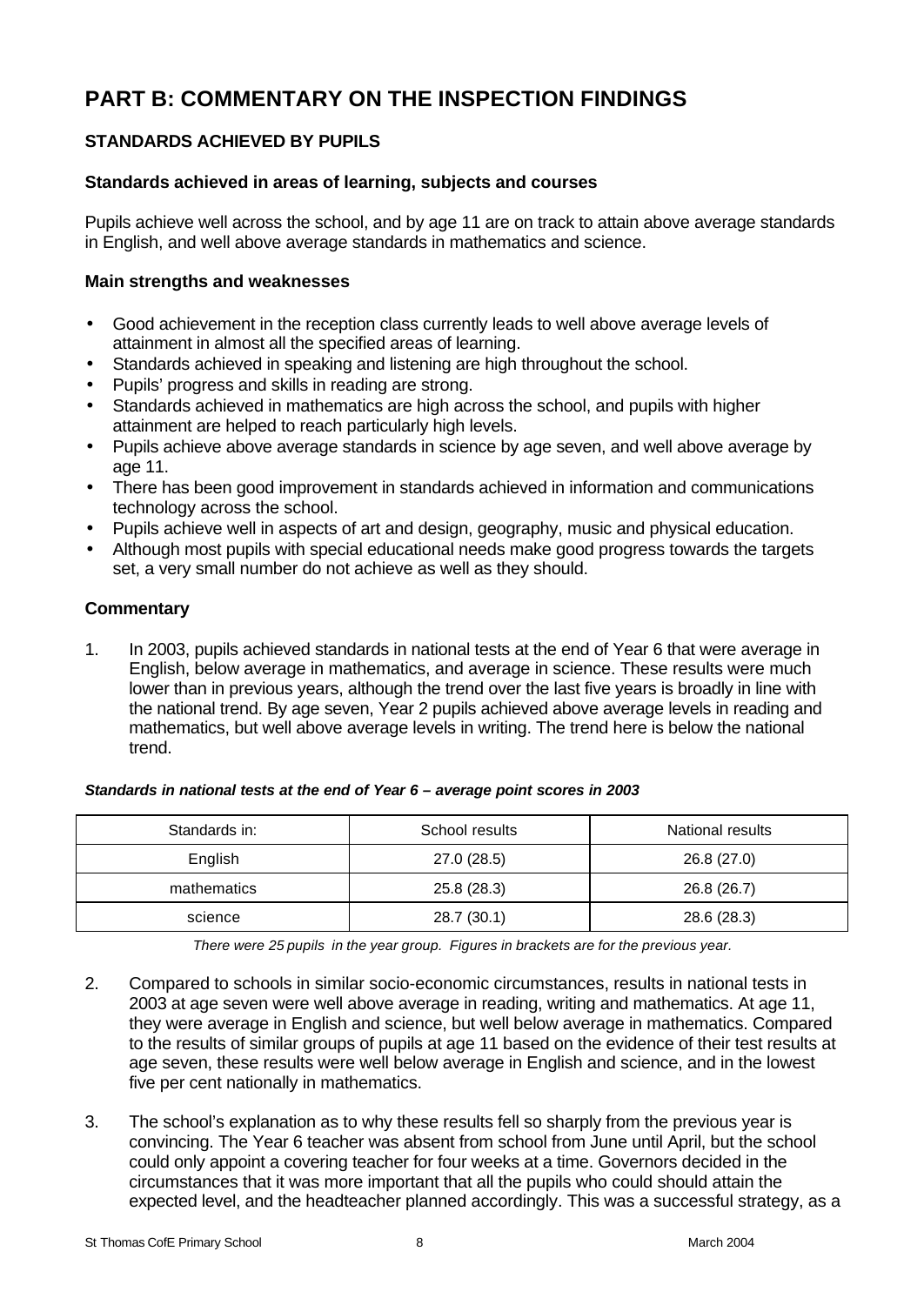# **PART B: COMMENTARY ON THE INSPECTION FINDINGS**

# **STANDARDS ACHIEVED BY PUPILS**

# **Standards achieved in areas of learning, subjects and courses**

Pupils achieve well across the school, and by age 11 are on track to attain above average standards in English, and well above average standards in mathematics and science.

## **Main strengths and weaknesses**

- Good achievement in the reception class currently leads to well above average levels of attainment in almost all the specified areas of learning.
- Standards achieved in speaking and listening are high throughout the school.
- Pupils' progress and skills in reading are strong.
- Standards achieved in mathematics are high across the school, and pupils with higher attainment are helped to reach particularly high levels.
- Pupils achieve above average standards in science by age seven, and well above average by age 11.
- There has been good improvement in standards achieved in information and communications technology across the school.
- Pupils achieve well in aspects of art and design, geography, music and physical education.
- Although most pupils with special educational needs make good progress towards the targets set, a very small number do not achieve as well as they should.

# **Commentary**

1. In 2003, pupils achieved standards in national tests at the end of Year 6 that were average in English, below average in mathematics, and average in science. These results were much lower than in previous years, although the trend over the last five years is broadly in line with the national trend. By age seven, Year 2 pupils achieved above average levels in reading and mathematics, but well above average levels in writing. The trend here is below the national trend.

| Standards in: | School results | National results |
|---------------|----------------|------------------|
| English       | 27.0(28.5)     | 26.8 (27.0)      |
| mathematics   | 25.8(28.3)     | 26.8 (26.7)      |
| science       | 28.7 (30.1)    | 28.6 (28.3)      |

*Standards in national tests at the end of Year 6 – average point scores in 2003*

*There were 25 pupils in the year group. Figures in brackets are for the previous year.*

- 2. Compared to schools in similar socio-economic circumstances, results in national tests in 2003 at age seven were well above average in reading, writing and mathematics. At age 11, they were average in English and science, but well below average in mathematics. Compared to the results of similar groups of pupils at age 11 based on the evidence of their test results at age seven, these results were well below average in English and science, and in the lowest five per cent nationally in mathematics.
- 3. The school's explanation as to why these results fell so sharply from the previous year is convincing. The Year 6 teacher was absent from school from June until April, but the school could only appoint a covering teacher for four weeks at a time. Governors decided in the circumstances that it was more important that all the pupils who could should attain the expected level, and the headteacher planned accordingly. This was a successful strategy, as a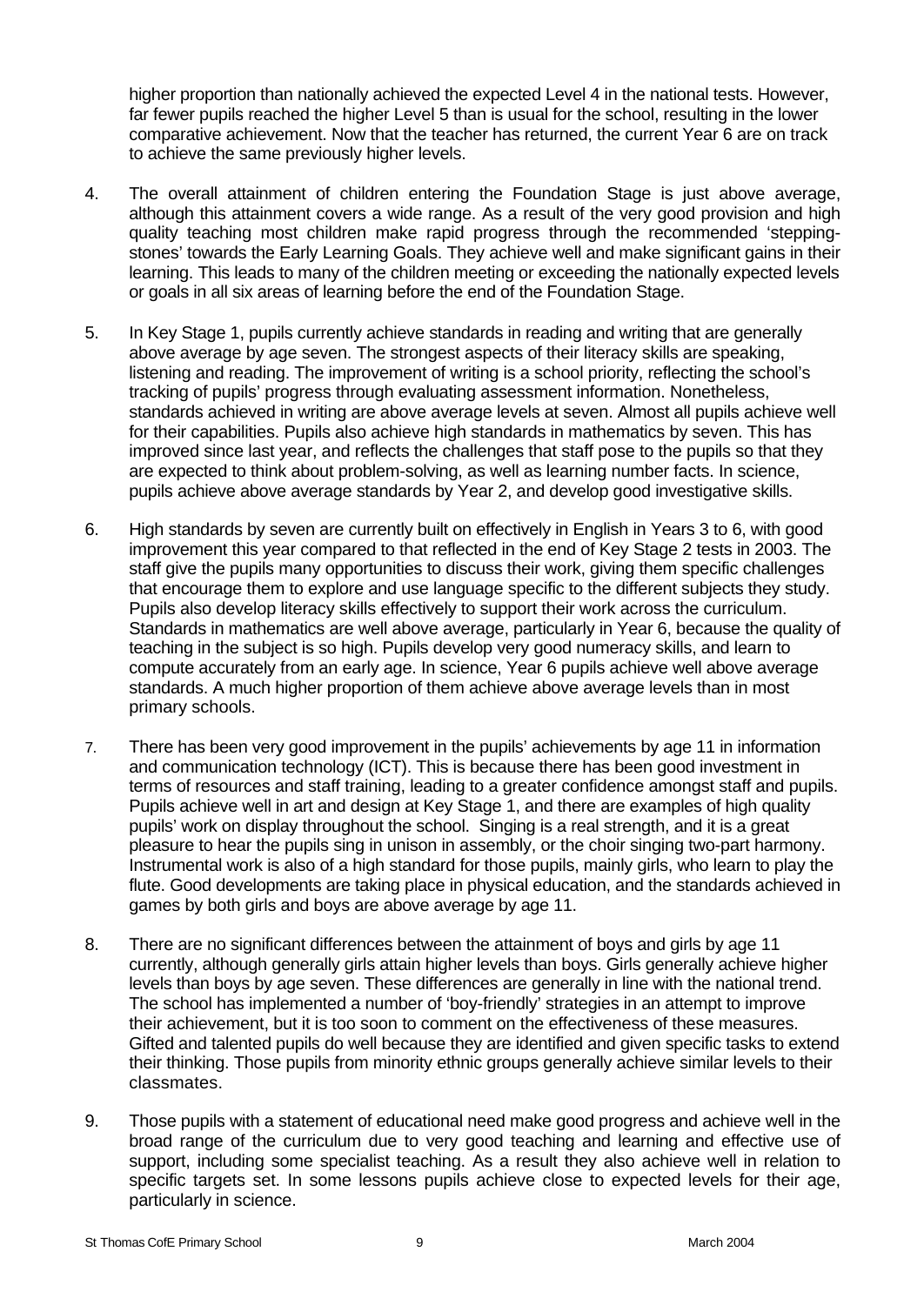higher proportion than nationally achieved the expected Level 4 in the national tests. However, far fewer pupils reached the higher Level 5 than is usual for the school, resulting in the lower comparative achievement. Now that the teacher has returned, the current Year 6 are on track to achieve the same previously higher levels.

- 4. The overall attainment of children entering the Foundation Stage is just above average, although this attainment covers a wide range. As a result of the very good provision and high quality teaching most children make rapid progress through the recommended 'steppingstones' towards the Early Learning Goals. They achieve well and make significant gains in their learning. This leads to many of the children meeting or exceeding the nationally expected levels or goals in all six areas of learning before the end of the Foundation Stage.
- 5. In Key Stage 1, pupils currently achieve standards in reading and writing that are generally above average by age seven. The strongest aspects of their literacy skills are speaking, listening and reading. The improvement of writing is a school priority, reflecting the school's tracking of pupils' progress through evaluating assessment information. Nonetheless, standards achieved in writing are above average levels at seven. Almost all pupils achieve well for their capabilities. Pupils also achieve high standards in mathematics by seven. This has improved since last year, and reflects the challenges that staff pose to the pupils so that they are expected to think about problem-solving, as well as learning number facts. In science, pupils achieve above average standards by Year 2, and develop good investigative skills.
- 6. High standards by seven are currently built on effectively in English in Years 3 to 6, with good improvement this year compared to that reflected in the end of Key Stage 2 tests in 2003. The staff give the pupils many opportunities to discuss their work, giving them specific challenges that encourage them to explore and use language specific to the different subjects they study. Pupils also develop literacy skills effectively to support their work across the curriculum. Standards in mathematics are well above average, particularly in Year 6, because the quality of teaching in the subject is so high. Pupils develop very good numeracy skills, and learn to compute accurately from an early age. In science, Year 6 pupils achieve well above average standards. A much higher proportion of them achieve above average levels than in most primary schools.
- 7. There has been very good improvement in the pupils' achievements by age 11 in information and communication technology (ICT). This is because there has been good investment in terms of resources and staff training, leading to a greater confidence amongst staff and pupils. Pupils achieve well in art and design at Key Stage 1, and there are examples of high quality pupils' work on display throughout the school. Singing is a real strength, and it is a great pleasure to hear the pupils sing in unison in assembly, or the choir singing two-part harmony. Instrumental work is also of a high standard for those pupils, mainly girls, who learn to play the flute. Good developments are taking place in physical education, and the standards achieved in games by both girls and boys are above average by age 11.
- 8. There are no significant differences between the attainment of boys and girls by age 11 currently, although generally girls attain higher levels than boys. Girls generally achieve higher levels than boys by age seven. These differences are generally in line with the national trend. The school has implemented a number of 'boy-friendly' strategies in an attempt to improve their achievement, but it is too soon to comment on the effectiveness of these measures. Gifted and talented pupils do well because they are identified and given specific tasks to extend their thinking. Those pupils from minority ethnic groups generally achieve similar levels to their classmates.
- 9. Those pupils with a statement of educational need make good progress and achieve well in the broad range of the curriculum due to very good teaching and learning and effective use of support, including some specialist teaching. As a result they also achieve well in relation to specific targets set. In some lessons pupils achieve close to expected levels for their age, particularly in science.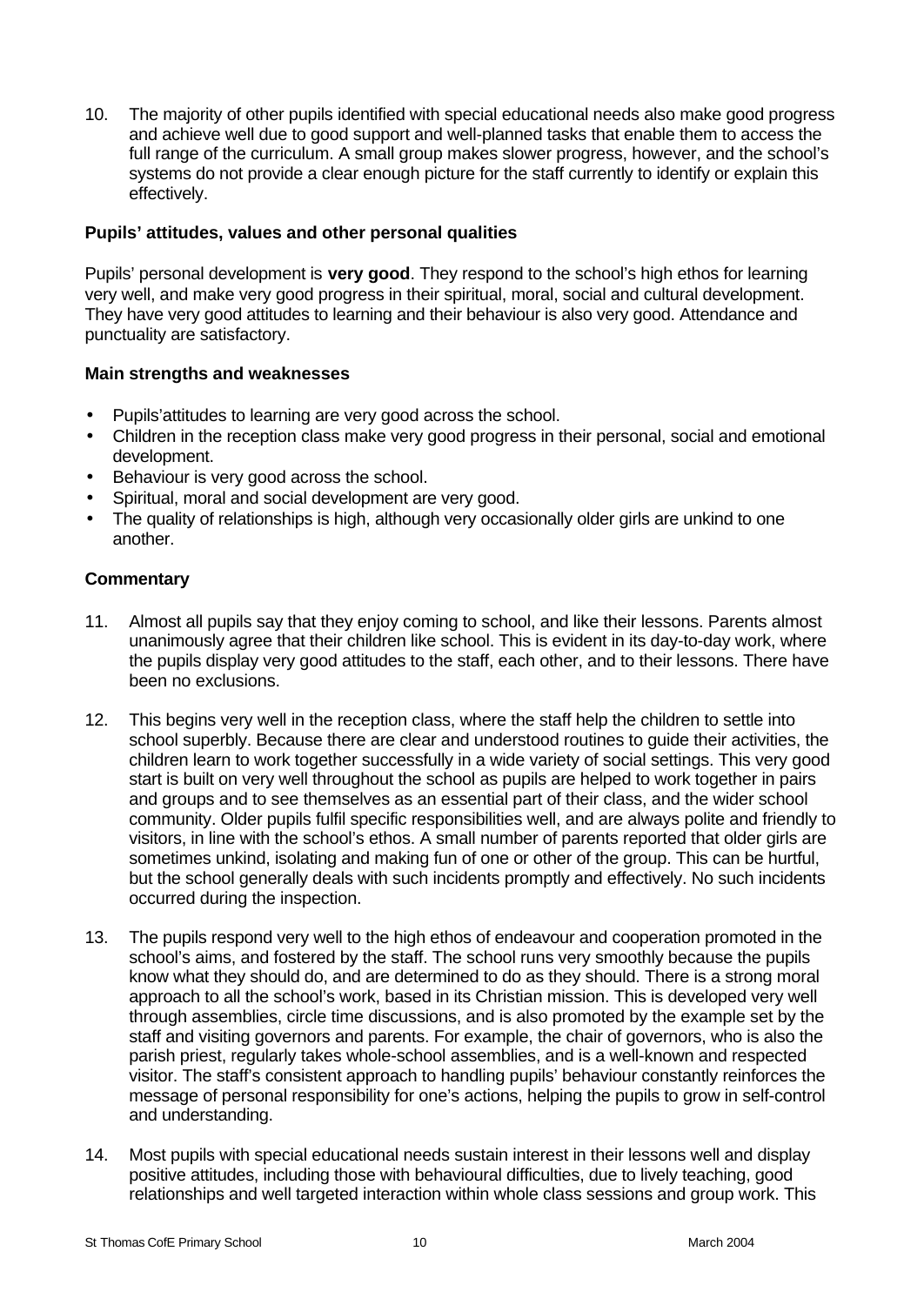10. The majority of other pupils identified with special educational needs also make good progress and achieve well due to good support and well-planned tasks that enable them to access the full range of the curriculum. A small group makes slower progress, however, and the school's systems do not provide a clear enough picture for the staff currently to identify or explain this effectively.

#### **Pupils' attitudes, values and other personal qualities**

Pupils' personal development is **very good**. They respond to the school's high ethos for learning very well, and make very good progress in their spiritual, moral, social and cultural development. They have very good attitudes to learning and their behaviour is also very good. Attendance and punctuality are satisfactory.

# **Main strengths and weaknesses**

- Pupils'attitudes to learning are very good across the school.
- Children in the reception class make very good progress in their personal, social and emotional development.
- Behaviour is very good across the school.
- Spiritual, moral and social development are very good.
- The quality of relationships is high, although very occasionally older girls are unkind to one another.

- 11. Almost all pupils say that they enjoy coming to school, and like their lessons. Parents almost unanimously agree that their children like school. This is evident in its day-to-day work, where the pupils display very good attitudes to the staff, each other, and to their lessons. There have been no exclusions.
- 12. This begins very well in the reception class, where the staff help the children to settle into school superbly. Because there are clear and understood routines to guide their activities, the children learn to work together successfully in a wide variety of social settings. This very good start is built on very well throughout the school as pupils are helped to work together in pairs and groups and to see themselves as an essential part of their class, and the wider school community. Older pupils fulfil specific responsibilities well, and are always polite and friendly to visitors, in line with the school's ethos. A small number of parents reported that older girls are sometimes unkind, isolating and making fun of one or other of the group. This can be hurtful, but the school generally deals with such incidents promptly and effectively. No such incidents occurred during the inspection.
- 13. The pupils respond very well to the high ethos of endeavour and cooperation promoted in the school's aims, and fostered by the staff. The school runs very smoothly because the pupils know what they should do, and are determined to do as they should. There is a strong moral approach to all the school's work, based in its Christian mission. This is developed very well through assemblies, circle time discussions, and is also promoted by the example set by the staff and visiting governors and parents. For example, the chair of governors, who is also the parish priest, regularly takes whole-school assemblies, and is a well-known and respected visitor. The staff's consistent approach to handling pupils' behaviour constantly reinforces the message of personal responsibility for one's actions, helping the pupils to grow in self-control and understanding.
- 14. Most pupils with special educational needs sustain interest in their lessons well and display positive attitudes, including those with behavioural difficulties, due to lively teaching, good relationships and well targeted interaction within whole class sessions and group work. This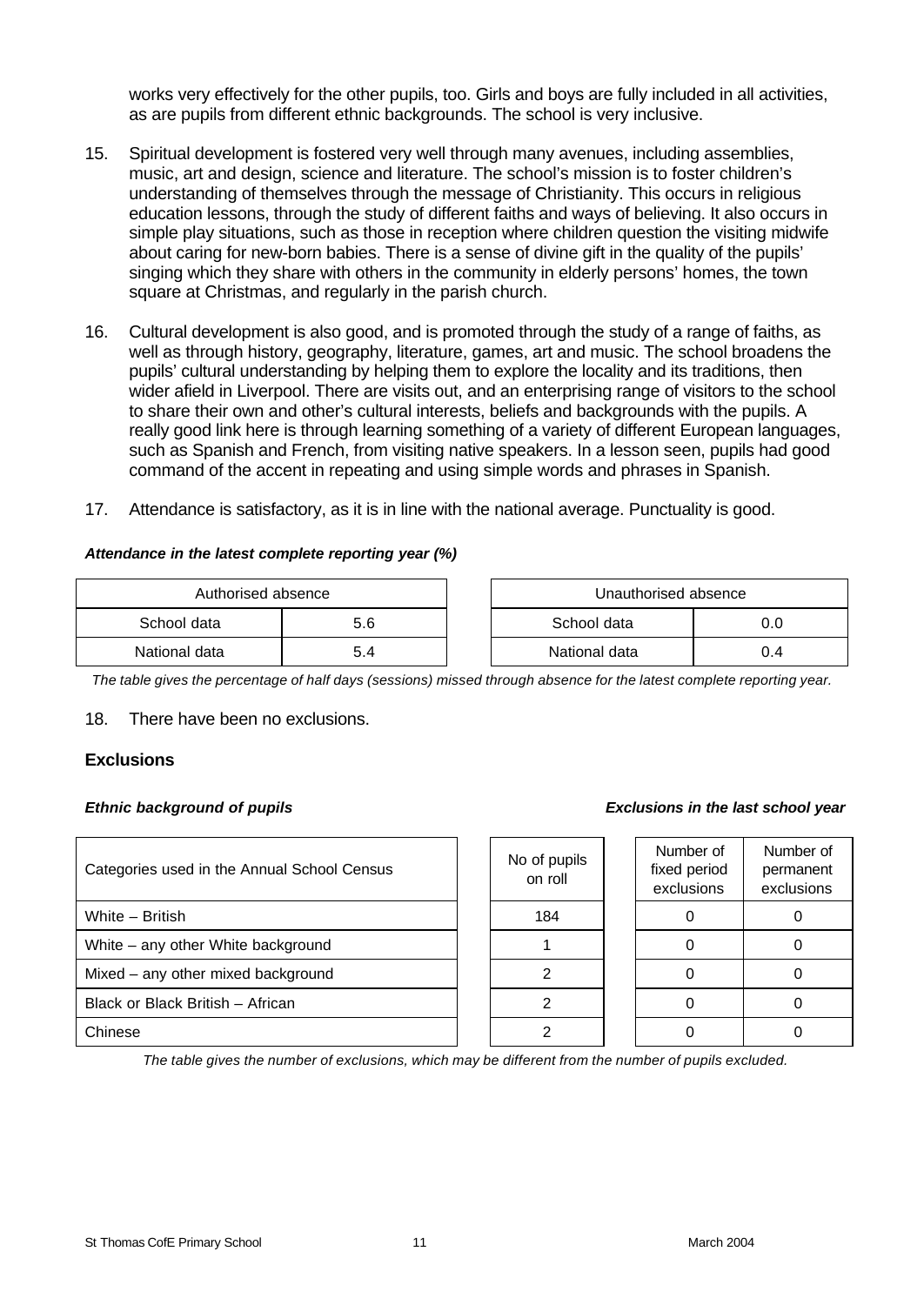works very effectively for the other pupils, too. Girls and boys are fully included in all activities, as are pupils from different ethnic backgrounds. The school is very inclusive.

- 15. Spiritual development is fostered very well through many avenues, including assemblies, music, art and design, science and literature. The school's mission is to foster children's understanding of themselves through the message of Christianity. This occurs in religious education lessons, through the study of different faiths and ways of believing. It also occurs in simple play situations, such as those in reception where children question the visiting midwife about caring for new-born babies. There is a sense of divine gift in the quality of the pupils' singing which they share with others in the community in elderly persons' homes, the town square at Christmas, and regularly in the parish church.
- 16. Cultural development is also good, and is promoted through the study of a range of faiths, as well as through history, geography, literature, games, art and music. The school broadens the pupils' cultural understanding by helping them to explore the locality and its traditions, then wider afield in Liverpool. There are visits out, and an enterprising range of visitors to the school to share their own and other's cultural interests, beliefs and backgrounds with the pupils. A really good link here is through learning something of a variety of different European languages, such as Spanish and French, from visiting native speakers. In a lesson seen, pupils had good command of the accent in repeating and using simple words and phrases in Spanish.
- 17. Attendance is satisfactory, as it is in line with the national average. Punctuality is good.

#### *Attendance in the latest complete reporting year (%)*

| Authorised absence |  |  | Unauthorised absence |     |
|--------------------|--|--|----------------------|-----|
| School data<br>5.6 |  |  | School data          | J.U |
| National data      |  |  | National data        | J.4 |

*The table gives the percentage of half days (sessions) missed through absence for the latest complete reporting year.*

18. There have been no exclusions.

#### **Exclusions**

| Categories used in the Annual School Census | No of pupils<br>on roll | Number of<br>fixed period<br>exclusions | Numb<br>perma<br>exclus |
|---------------------------------------------|-------------------------|-----------------------------------------|-------------------------|
| White - British                             | 184                     |                                         | 0                       |
| White – any other White background          |                         |                                         |                         |
| Mixed – any other mixed background          |                         |                                         |                         |
| Black or Black British - African            |                         |                                         | 0                       |
| Chinese                                     |                         |                                         |                         |

#### *Ethnic background of pupils Exclusions in the last school year*

| lo of pupils<br>on roll | Number of<br>fixed period<br>exclusions | Number of<br>permanent<br>exclusions |
|-------------------------|-----------------------------------------|--------------------------------------|
| 184                     |                                         |                                      |
|                         |                                         |                                      |
|                         |                                         |                                      |
|                         |                                         |                                      |
|                         |                                         |                                      |

*The table gives the number of exclusions, which may be different from the number of pupils excluded.*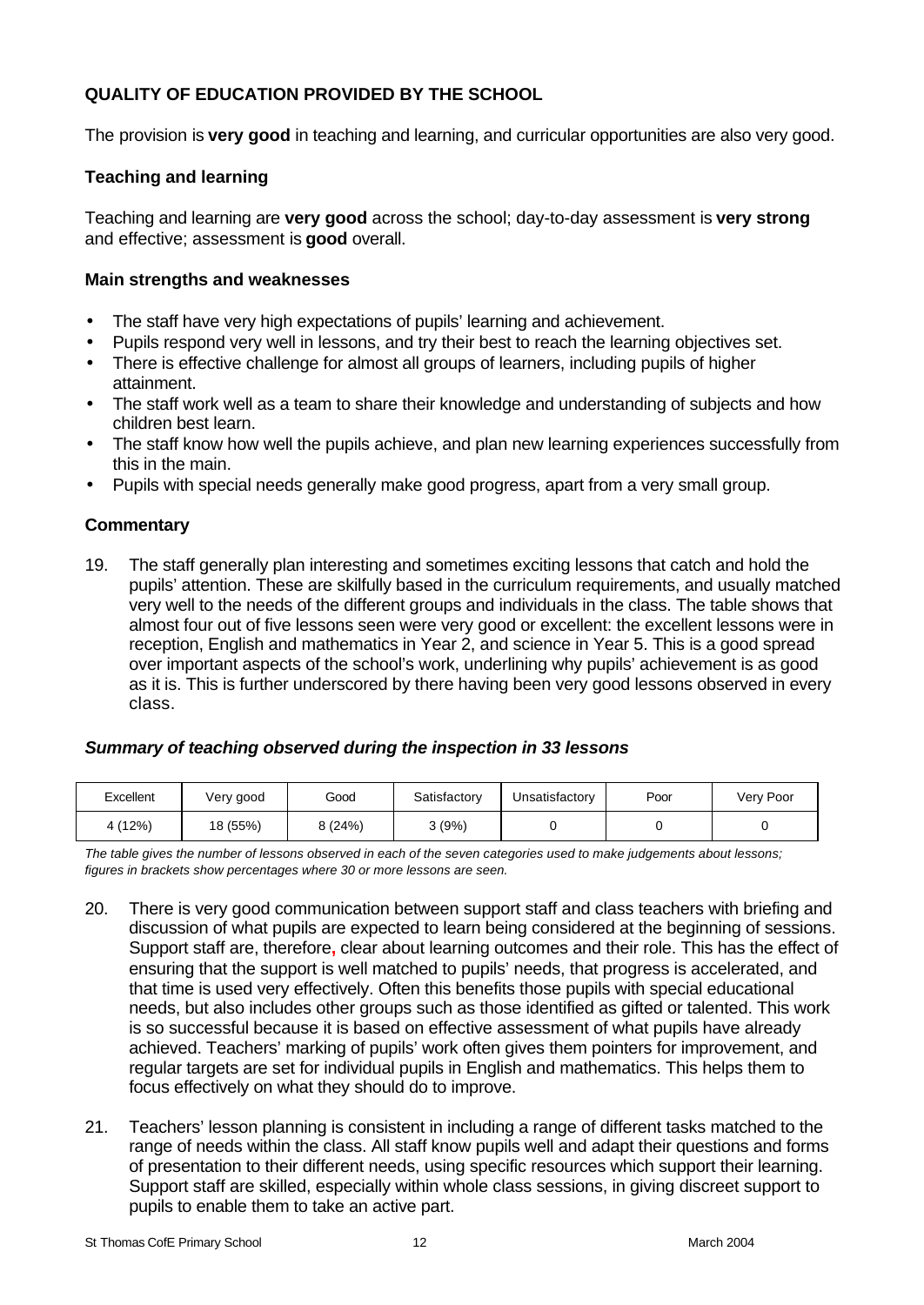# **QUALITY OF EDUCATION PROVIDED BY THE SCHOOL**

The provision is **very good** in teaching and learning, and curricular opportunities are also very good.

# **Teaching and learning**

Teaching and learning are **very good** across the school; day-to-day assessment is **very strong** and effective; assessment is **good** overall.

#### **Main strengths and weaknesses**

- The staff have very high expectations of pupils' learning and achievement.
- Pupils respond very well in lessons, and try their best to reach the learning objectives set.
- There is effective challenge for almost all groups of learners, including pupils of higher attainment.
- The staff work well as a team to share their knowledge and understanding of subjects and how children best learn.
- The staff know how well the pupils achieve, and plan new learning experiences successfully from this in the main.
- Pupils with special needs generally make good progress, apart from a very small group.

# **Commentary**

19. The staff generally plan interesting and sometimes exciting lessons that catch and hold the pupils' attention. These are skilfully based in the curriculum requirements, and usually matched very well to the needs of the different groups and individuals in the class. The table shows that almost four out of five lessons seen were very good or excellent: the excellent lessons were in reception, English and mathematics in Year 2, and science in Year 5. This is a good spread over important aspects of the school's work, underlining why pupils' achievement is as good as it is. This is further underscored by there having been very good lessons observed in every class.

# *Summary of teaching observed during the inspection in 33 lessons*

| Excellent | Very good | Good   | Satisfactory | Unsatisfactory | Poor | Very Poor |
|-----------|-----------|--------|--------------|----------------|------|-----------|
| (12%)     | 18 (55%)  | 8(24%) | (9%)         |                |      |           |

*The table gives the number of lessons observed in each of the seven categories used to make judgements about lessons; figures in brackets show percentages where 30 or more lessons are seen.*

- 20. There is very good communication between support staff and class teachers with briefing and discussion of what pupils are expected to learn being considered at the beginning of sessions. Support staff are, therefore**,** clear about learning outcomes and their role. This has the effect of ensuring that the support is well matched to pupils' needs, that progress is accelerated, and that time is used very effectively. Often this benefits those pupils with special educational needs, but also includes other groups such as those identified as gifted or talented. This work is so successful because it is based on effective assessment of what pupils have already achieved. Teachers' marking of pupils' work often gives them pointers for improvement, and regular targets are set for individual pupils in English and mathematics. This helps them to focus effectively on what they should do to improve.
- 21. Teachers' lesson planning is consistent in including a range of different tasks matched to the range of needs within the class. All staff know pupils well and adapt their questions and forms of presentation to their different needs, using specific resources which support their learning. Support staff are skilled, especially within whole class sessions, in giving discreet support to pupils to enable them to take an active part.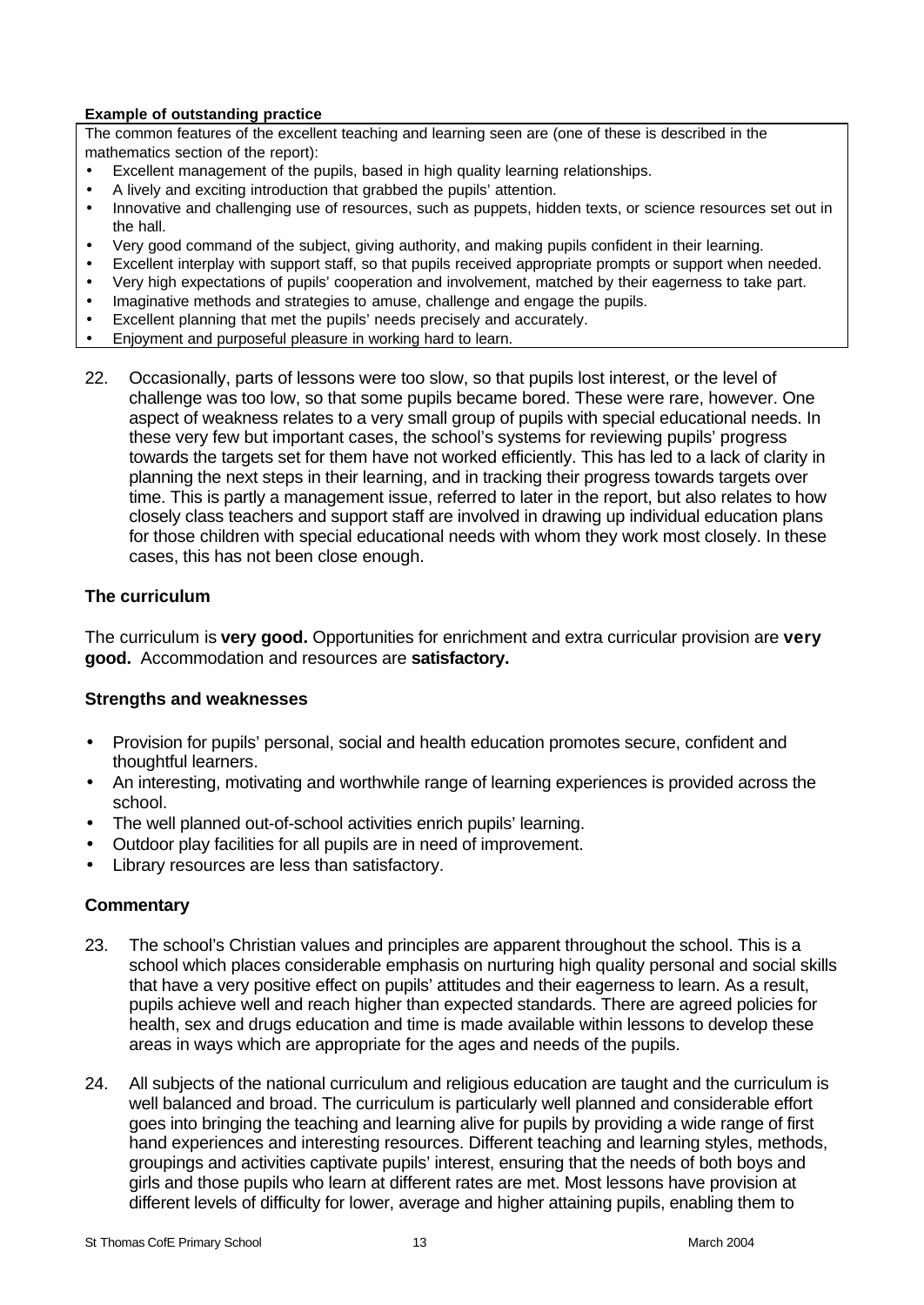#### **Example of outstanding practice**

The common features of the excellent teaching and learning seen are (one of these is described in the mathematics section of the report):

- Excellent management of the pupils, based in high quality learning relationships.
- A lively and exciting introduction that grabbed the pupils' attention.
- Innovative and challenging use of resources, such as puppets, hidden texts, or science resources set out in the hall.
- Very good command of the subject, giving authority, and making pupils confident in their learning.
- Excellent interplay with support staff, so that pupils received appropriate prompts or support when needed.
- Very high expectations of pupils' cooperation and involvement, matched by their eagerness to take part.
- Imaginative methods and strategies to amuse, challenge and engage the pupils.
- Excellent planning that met the pupils' needs precisely and accurately.
- Enjoyment and purposeful pleasure in working hard to learn.
- 22. Occasionally, parts of lessons were too slow, so that pupils lost interest, or the level of challenge was too low, so that some pupils became bored. These were rare, however. One aspect of weakness relates to a very small group of pupils with special educational needs. In these very few but important cases, the school's systems for reviewing pupils' progress towards the targets set for them have not worked efficiently. This has led to a lack of clarity in planning the next steps in their learning, and in tracking their progress towards targets over time. This is partly a management issue, referred to later in the report, but also relates to how closely class teachers and support staff are involved in drawing up individual education plans for those children with special educational needs with whom they work most closely. In these cases, this has not been close enough.

#### **The curriculum**

The curriculum is **very good.** Opportunities for enrichment and extra curricular provision are **very good.** Accommodation and resources are **satisfactory.**

#### **Strengths and weaknesses**

- Provision for pupils' personal, social and health education promotes secure, confident and thoughtful learners.
- An interesting, motivating and worthwhile range of learning experiences is provided across the school.
- The well planned out-of-school activities enrich pupils' learning.
- Outdoor play facilities for all pupils are in need of improvement.
- Library resources are less than satisfactory.

- 23. The school's Christian values and principles are apparent throughout the school. This is a school which places considerable emphasis on nurturing high quality personal and social skills that have a very positive effect on pupils' attitudes and their eagerness to learn. As a result, pupils achieve well and reach higher than expected standards. There are agreed policies for health, sex and drugs education and time is made available within lessons to develop these areas in ways which are appropriate for the ages and needs of the pupils.
- 24. All subjects of the national curriculum and religious education are taught and the curriculum is well balanced and broad. The curriculum is particularly well planned and considerable effort goes into bringing the teaching and learning alive for pupils by providing a wide range of first hand experiences and interesting resources. Different teaching and learning styles, methods, groupings and activities captivate pupils' interest, ensuring that the needs of both boys and girls and those pupils who learn at different rates are met. Most lessons have provision at different levels of difficulty for lower, average and higher attaining pupils, enabling them to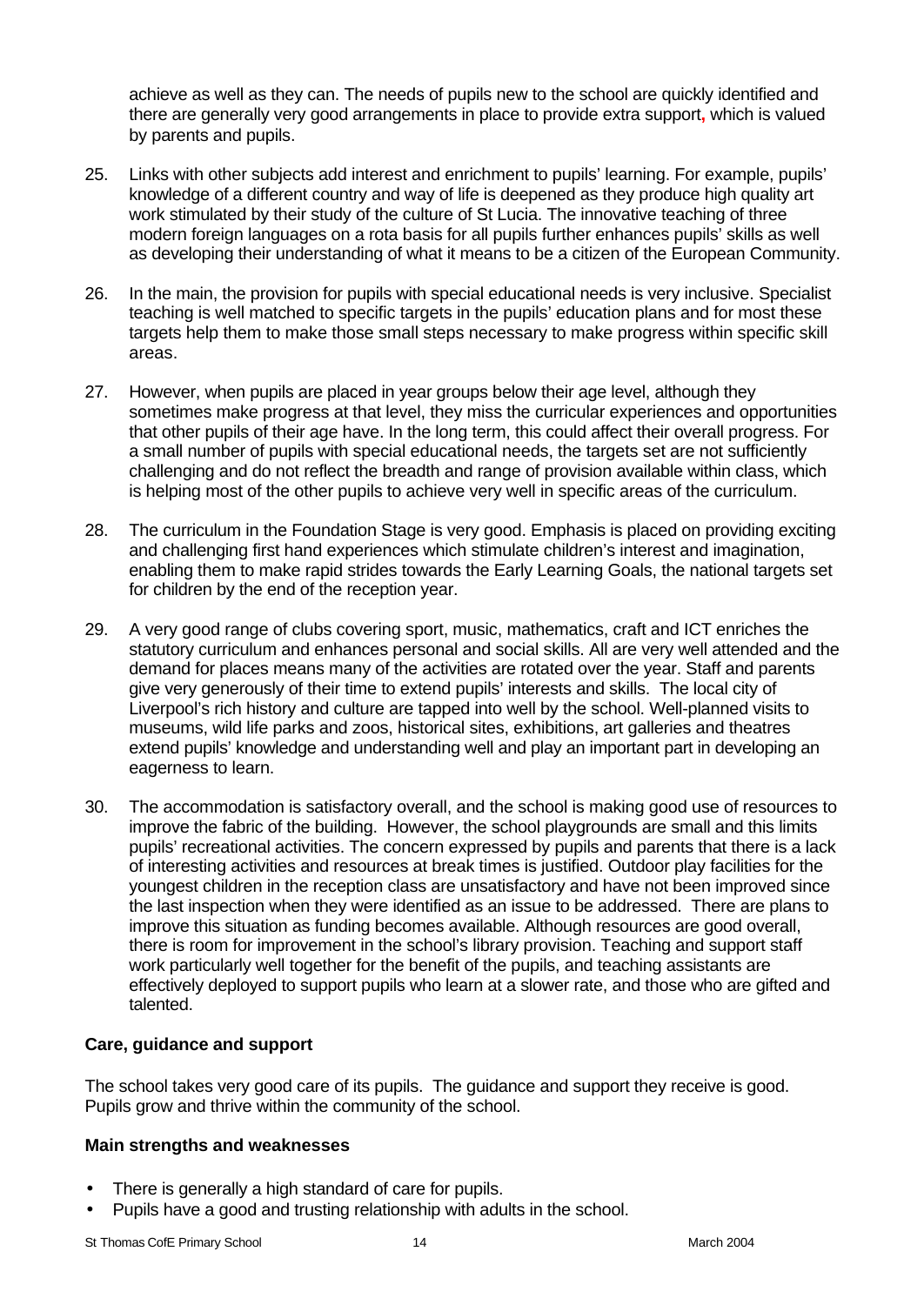achieve as well as they can. The needs of pupils new to the school are quickly identified and there are generally very good arrangements in place to provide extra support**,** which is valued by parents and pupils.

- 25. Links with other subjects add interest and enrichment to pupils' learning. For example, pupils' knowledge of a different country and way of life is deepened as they produce high quality art work stimulated by their study of the culture of St Lucia. The innovative teaching of three modern foreign languages on a rota basis for all pupils further enhances pupils' skills as well as developing their understanding of what it means to be a citizen of the European Community.
- 26. In the main, the provision for pupils with special educational needs is very inclusive. Specialist teaching is well matched to specific targets in the pupils' education plans and for most these targets help them to make those small steps necessary to make progress within specific skill areas.
- 27. However, when pupils are placed in year groups below their age level, although they sometimes make progress at that level, they miss the curricular experiences and opportunities that other pupils of their age have. In the long term, this could affect their overall progress. For a small number of pupils with special educational needs, the targets set are not sufficiently challenging and do not reflect the breadth and range of provision available within class, which is helping most of the other pupils to achieve very well in specific areas of the curriculum.
- 28. The curriculum in the Foundation Stage is very good. Emphasis is placed on providing exciting and challenging first hand experiences which stimulate children's interest and imagination, enabling them to make rapid strides towards the Early Learning Goals, the national targets set for children by the end of the reception year.
- 29. A very good range of clubs covering sport, music, mathematics, craft and ICT enriches the statutory curriculum and enhances personal and social skills. All are very well attended and the demand for places means many of the activities are rotated over the year. Staff and parents give very generously of their time to extend pupils' interests and skills. The local city of Liverpool's rich history and culture are tapped into well by the school. Well-planned visits to museums, wild life parks and zoos, historical sites, exhibitions, art galleries and theatres extend pupils' knowledge and understanding well and play an important part in developing an eagerness to learn.
- 30. The accommodation is satisfactory overall, and the school is making good use of resources to improve the fabric of the building. However, the school playgrounds are small and this limits pupils' recreational activities. The concern expressed by pupils and parents that there is a lack of interesting activities and resources at break times is justified. Outdoor play facilities for the youngest children in the reception class are unsatisfactory and have not been improved since the last inspection when they were identified as an issue to be addressed. There are plans to improve this situation as funding becomes available. Although resources are good overall, there is room for improvement in the school's library provision. Teaching and support staff work particularly well together for the benefit of the pupils, and teaching assistants are effectively deployed to support pupils who learn at a slower rate, and those who are gifted and talented.

#### **Care, guidance and support**

The school takes very good care of its pupils. The guidance and support they receive is good. Pupils grow and thrive within the community of the school.

### **Main strengths and weaknesses**

- There is generally a high standard of care for pupils.
- Pupils have a good and trusting relationship with adults in the school.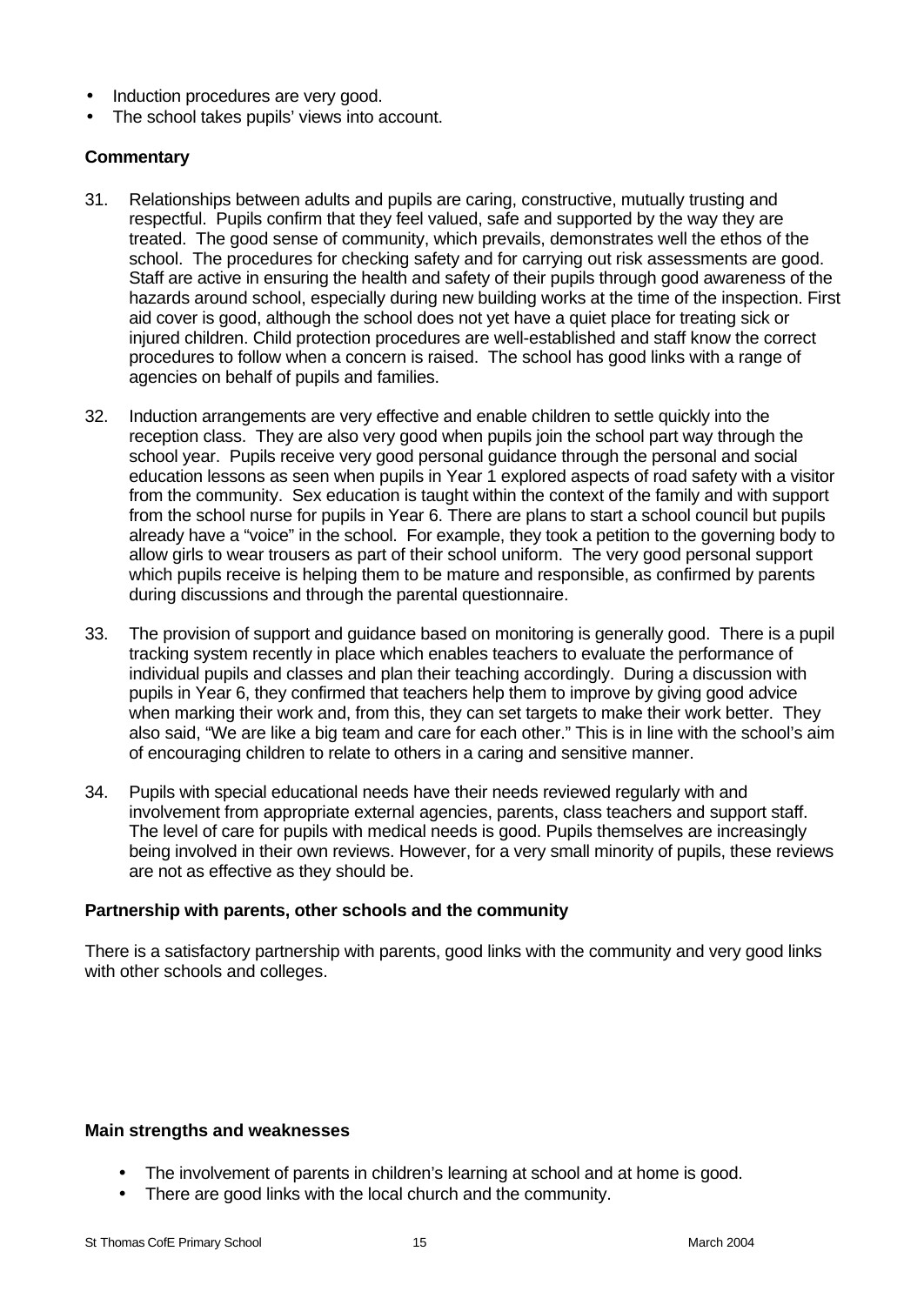- Induction procedures are very good.
- The school takes pupils' views into account.

#### **Commentary**

- 31. Relationships between adults and pupils are caring, constructive, mutually trusting and respectful. Pupils confirm that they feel valued, safe and supported by the way they are treated. The good sense of community, which prevails, demonstrates well the ethos of the school. The procedures for checking safety and for carrying out risk assessments are good. Staff are active in ensuring the health and safety of their pupils through good awareness of the hazards around school, especially during new building works at the time of the inspection. First aid cover is good, although the school does not yet have a quiet place for treating sick or injured children. Child protection procedures are well-established and staff know the correct procedures to follow when a concern is raised. The school has good links with a range of agencies on behalf of pupils and families.
- 32. Induction arrangements are very effective and enable children to settle quickly into the reception class. They are also very good when pupils join the school part way through the school year. Pupils receive very good personal guidance through the personal and social education lessons as seen when pupils in Year 1 explored aspects of road safety with a visitor from the community. Sex education is taught within the context of the family and with support from the school nurse for pupils in Year 6. There are plans to start a school council but pupils already have a "voice" in the school. For example, they took a petition to the governing body to allow girls to wear trousers as part of their school uniform. The very good personal support which pupils receive is helping them to be mature and responsible, as confirmed by parents during discussions and through the parental questionnaire.
- 33. The provision of support and guidance based on monitoring is generally good. There is a pupil tracking system recently in place which enables teachers to evaluate the performance of individual pupils and classes and plan their teaching accordingly. During a discussion with pupils in Year 6, they confirmed that teachers help them to improve by giving good advice when marking their work and, from this, they can set targets to make their work better. They also said, "We are like a big team and care for each other." This is in line with the school's aim of encouraging children to relate to others in a caring and sensitive manner.
- 34. Pupils with special educational needs have their needs reviewed regularly with and involvement from appropriate external agencies, parents, class teachers and support staff. The level of care for pupils with medical needs is good. Pupils themselves are increasingly being involved in their own reviews. However, for a very small minority of pupils, these reviews are not as effective as they should be.

#### **Partnership with parents, other schools and the community**

There is a satisfactory partnership with parents, good links with the community and very good links with other schools and colleges.

#### **Main strengths and weaknesses**

- The involvement of parents in children's learning at school and at home is good.
- There are good links with the local church and the community.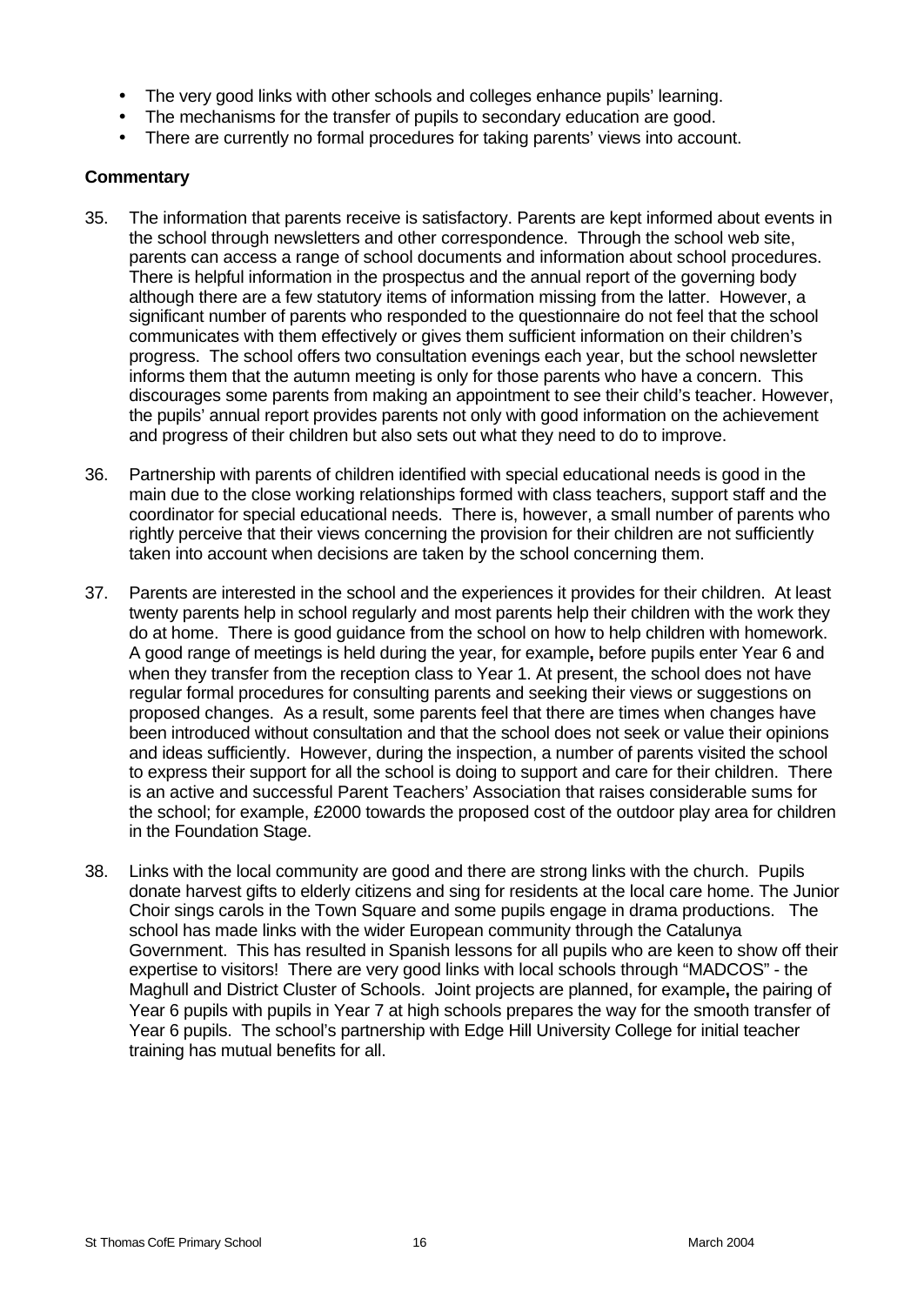- The very good links with other schools and colleges enhance pupils' learning.
- The mechanisms for the transfer of pupils to secondary education are good.
- There are currently no formal procedures for taking parents' views into account.

- 35. The information that parents receive is satisfactory. Parents are kept informed about events in the school through newsletters and other correspondence. Through the school web site, parents can access a range of school documents and information about school procedures. There is helpful information in the prospectus and the annual report of the governing body although there are a few statutory items of information missing from the latter. However, a significant number of parents who responded to the questionnaire do not feel that the school communicates with them effectively or gives them sufficient information on their children's progress. The school offers two consultation evenings each year, but the school newsletter informs them that the autumn meeting is only for those parents who have a concern. This discourages some parents from making an appointment to see their child's teacher. However, the pupils' annual report provides parents not only with good information on the achievement and progress of their children but also sets out what they need to do to improve.
- 36. Partnership with parents of children identified with special educational needs is good in the main due to the close working relationships formed with class teachers, support staff and the coordinator for special educational needs. There is, however, a small number of parents who rightly perceive that their views concerning the provision for their children are not sufficiently taken into account when decisions are taken by the school concerning them.
- 37. Parents are interested in the school and the experiences it provides for their children. At least twenty parents help in school regularly and most parents help their children with the work they do at home. There is good guidance from the school on how to help children with homework. A good range of meetings is held during the year, for example**,** before pupils enter Year 6 and when they transfer from the reception class to Year 1. At present, the school does not have regular formal procedures for consulting parents and seeking their views or suggestions on proposed changes. As a result, some parents feel that there are times when changes have been introduced without consultation and that the school does not seek or value their opinions and ideas sufficiently. However, during the inspection, a number of parents visited the school to express their support for all the school is doing to support and care for their children. There is an active and successful Parent Teachers' Association that raises considerable sums for the school; for example, £2000 towards the proposed cost of the outdoor play area for children in the Foundation Stage.
- 38. Links with the local community are good and there are strong links with the church. Pupils donate harvest gifts to elderly citizens and sing for residents at the local care home. The Junior Choir sings carols in the Town Square and some pupils engage in drama productions. The school has made links with the wider European community through the Catalunya Government. This has resulted in Spanish lessons for all pupils who are keen to show off their expertise to visitors! There are very good links with local schools through "MADCOS" - the Maghull and District Cluster of Schools. Joint projects are planned, for example**,** the pairing of Year 6 pupils with pupils in Year 7 at high schools prepares the way for the smooth transfer of Year 6 pupils. The school's partnership with Edge Hill University College for initial teacher training has mutual benefits for all.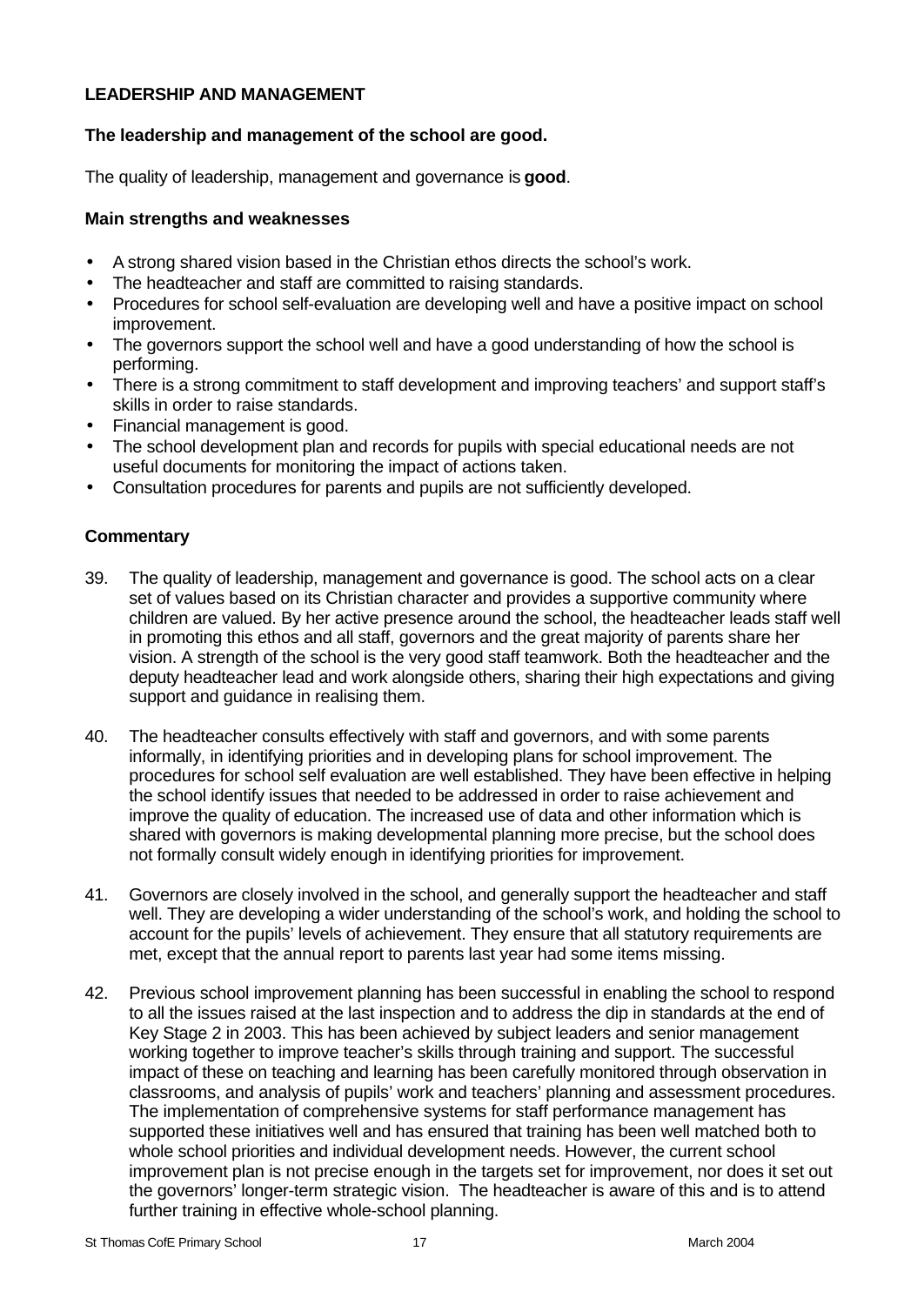# **LEADERSHIP AND MANAGEMENT**

# **The leadership and management of the school are good.**

The quality of leadership, management and governance is **good**.

## **Main strengths and weaknesses**

- A strong shared vision based in the Christian ethos directs the school's work.
- The headteacher and staff are committed to raising standards.
- Procedures for school self-evaluation are developing well and have a positive impact on school improvement.
- The governors support the school well and have a good understanding of how the school is performing.
- There is a strong commitment to staff development and improving teachers' and support staff's skills in order to raise standards.
- Financial management is good.
- The school development plan and records for pupils with special educational needs are not useful documents for monitoring the impact of actions taken.
- Consultation procedures for parents and pupils are not sufficiently developed.

- 39. The quality of leadership, management and governance is good. The school acts on a clear set of values based on its Christian character and provides a supportive community where children are valued. By her active presence around the school, the headteacher leads staff well in promoting this ethos and all staff, governors and the great majority of parents share her vision. A strength of the school is the very good staff teamwork. Both the headteacher and the deputy headteacher lead and work alongside others, sharing their high expectations and giving support and guidance in realising them.
- 40. The headteacher consults effectively with staff and governors, and with some parents informally, in identifying priorities and in developing plans for school improvement. The procedures for school self evaluation are well established. They have been effective in helping the school identify issues that needed to be addressed in order to raise achievement and improve the quality of education. The increased use of data and other information which is shared with governors is making developmental planning more precise, but the school does not formally consult widely enough in identifying priorities for improvement.
- 41. Governors are closely involved in the school, and generally support the headteacher and staff well. They are developing a wider understanding of the school's work, and holding the school to account for the pupils' levels of achievement. They ensure that all statutory requirements are met, except that the annual report to parents last year had some items missing.
- 42. Previous school improvement planning has been successful in enabling the school to respond to all the issues raised at the last inspection and to address the dip in standards at the end of Key Stage 2 in 2003. This has been achieved by subject leaders and senior management working together to improve teacher's skills through training and support. The successful impact of these on teaching and learning has been carefully monitored through observation in classrooms, and analysis of pupils' work and teachers' planning and assessment procedures. The implementation of comprehensive systems for staff performance management has supported these initiatives well and has ensured that training has been well matched both to whole school priorities and individual development needs. However, the current school improvement plan is not precise enough in the targets set for improvement, nor does it set out the governors' longer-term strategic vision. The headteacher is aware of this and is to attend further training in effective whole-school planning.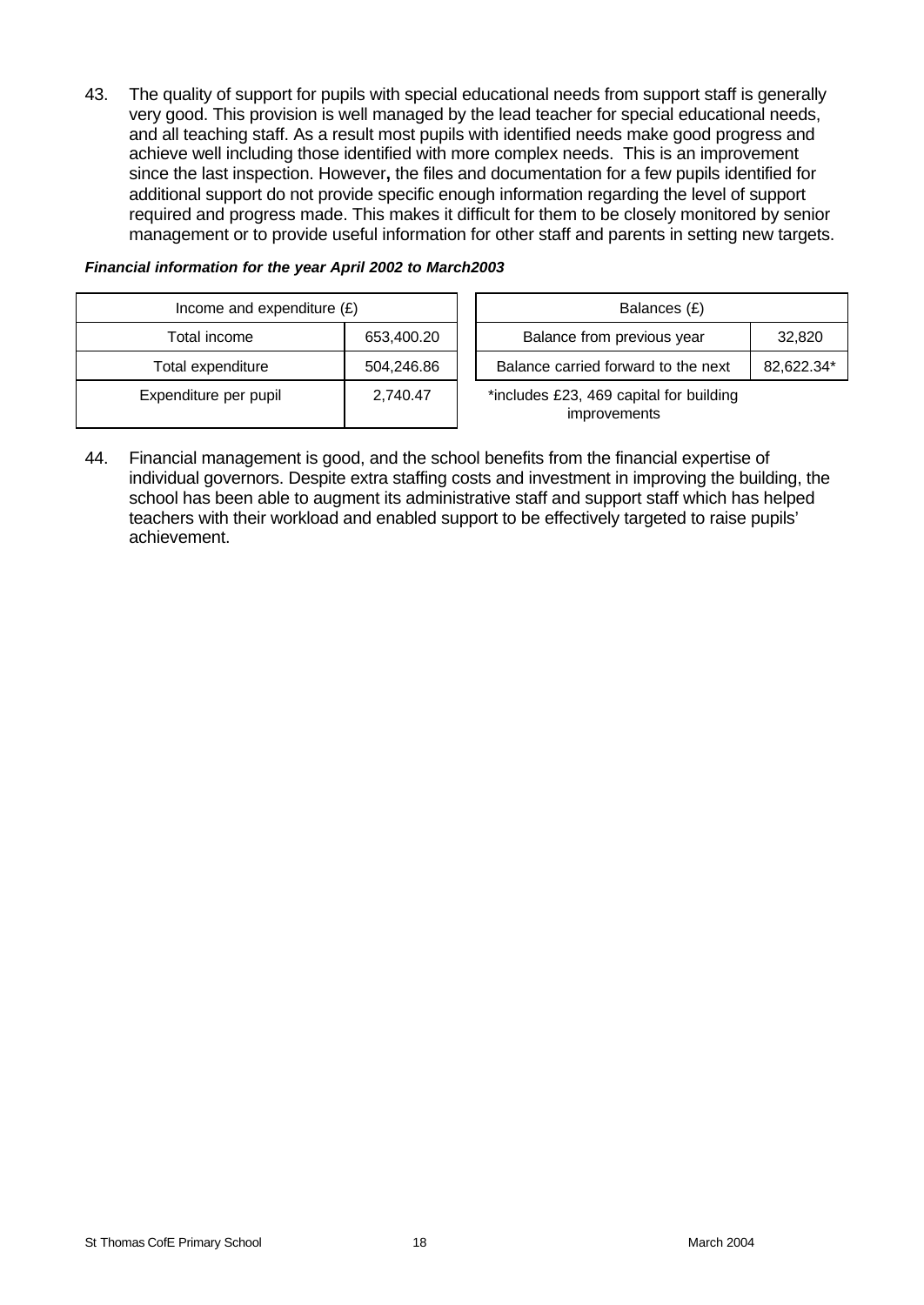43. The quality of support for pupils with special educational needs from support staff is generally very good. This provision is well managed by the lead teacher for special educational needs, and all teaching staff. As a result most pupils with identified needs make good progress and achieve well including those identified with more complex needs. This is an improvement since the last inspection. However**,** the files and documentation for a few pupils identified for additional support do not provide specific enough information regarding the level of support required and progress made. This makes it difficult for them to be closely monitored by senior management or to provide useful information for other staff and parents in setting new targets.

| Income and expenditure $(E)$ |                        |  | Balances (£)                                                   |            |
|------------------------------|------------------------|--|----------------------------------------------------------------|------------|
| Total income                 | 653,400.20             |  | Balance from previous year                                     | 32,820     |
| Total expenditure            | 504,246.86<br>2,740.47 |  | Balance carried forward to the next                            | 82,622.34* |
| Expenditure per pupil        |                        |  | *includes £23, 469 capital for building<br><i>improvements</i> |            |

#### *Financial information for the year April 2002 to March2003*

44. Financial management is good, and the school benefits from the financial expertise of individual governors. Despite extra staffing costs and investment in improving the building, the school has been able to augment its administrative staff and support staff which has helped teachers with their workload and enabled support to be effectively targeted to raise pupils' achievement.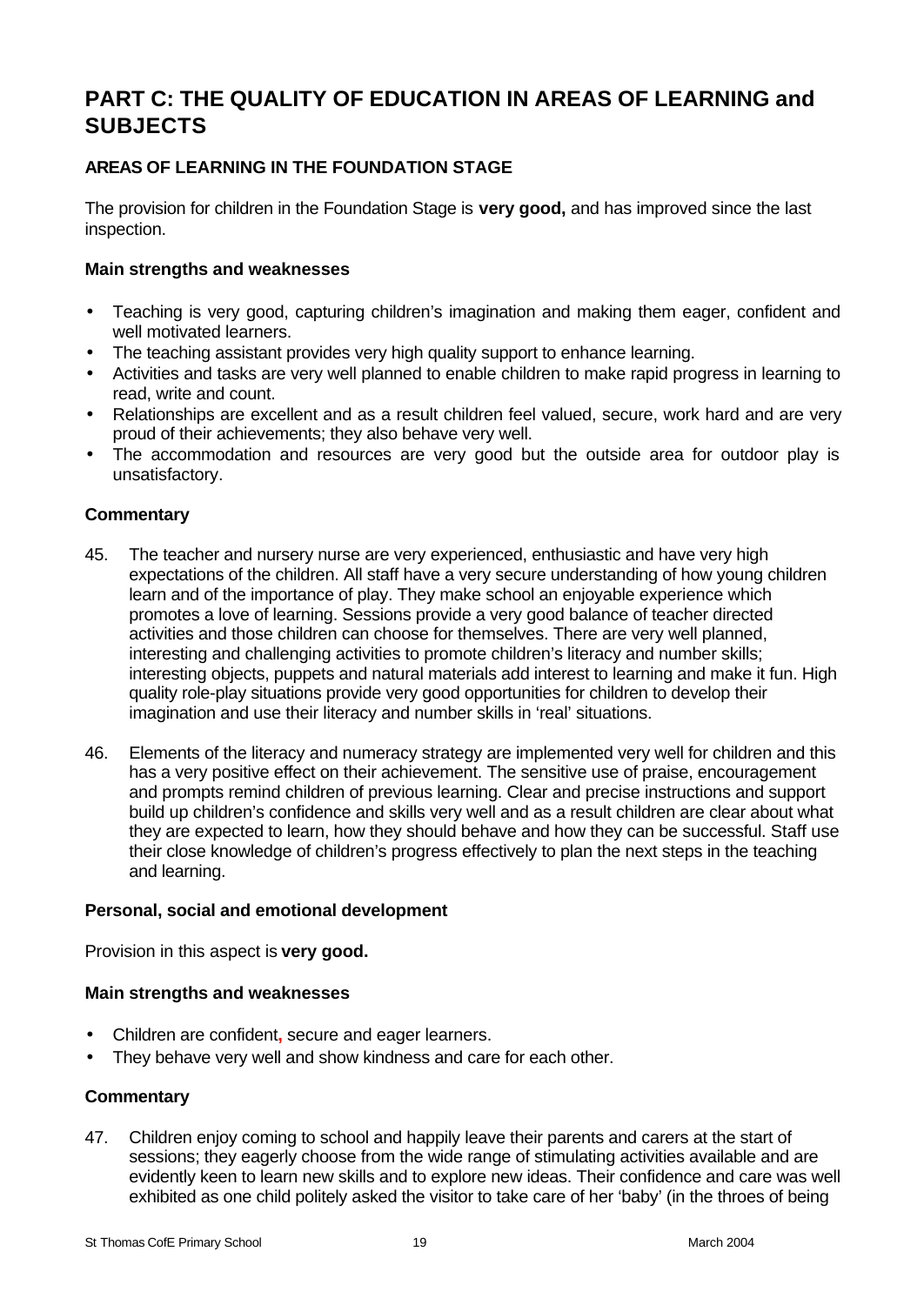# **PART C: THE QUALITY OF EDUCATION IN AREAS OF LEARNING and SUBJECTS**

# **AREAS OF LEARNING IN THE FOUNDATION STAGE**

The provision for children in the Foundation Stage is **very good,** and has improved since the last inspection.

#### **Main strengths and weaknesses**

- Teaching is very good, capturing children's imagination and making them eager, confident and well motivated learners.
- The teaching assistant provides very high quality support to enhance learning.
- Activities and tasks are very well planned to enable children to make rapid progress in learning to read, write and count.
- Relationships are excellent and as a result children feel valued, secure, work hard and are very proud of their achievements; they also behave very well.
- The accommodation and resources are very good but the outside area for outdoor play is unsatisfactory.

# **Commentary**

- 45. The teacher and nursery nurse are very experienced, enthusiastic and have very high expectations of the children. All staff have a very secure understanding of how young children learn and of the importance of play. They make school an enjoyable experience which promotes a love of learning. Sessions provide a very good balance of teacher directed activities and those children can choose for themselves. There are very well planned, interesting and challenging activities to promote children's literacy and number skills; interesting objects, puppets and natural materials add interest to learning and make it fun. High quality role-play situations provide very good opportunities for children to develop their imagination and use their literacy and number skills in 'real' situations.
- 46. Elements of the literacy and numeracy strategy are implemented very well for children and this has a very positive effect on their achievement. The sensitive use of praise, encouragement and prompts remind children of previous learning. Clear and precise instructions and support build up children's confidence and skills very well and as a result children are clear about what they are expected to learn, how they should behave and how they can be successful. Staff use their close knowledge of children's progress effectively to plan the next steps in the teaching and learning.

#### **Personal, social and emotional development**

Provision in this aspect is **very good.**

#### **Main strengths and weaknesses**

- Children are confident**,** secure and eager learners.
- They behave very well and show kindness and care for each other.

# **Commentary**

47. Children enjoy coming to school and happily leave their parents and carers at the start of sessions; they eagerly choose from the wide range of stimulating activities available and are evidently keen to learn new skills and to explore new ideas. Their confidence and care was well exhibited as one child politely asked the visitor to take care of her 'baby' (in the throes of being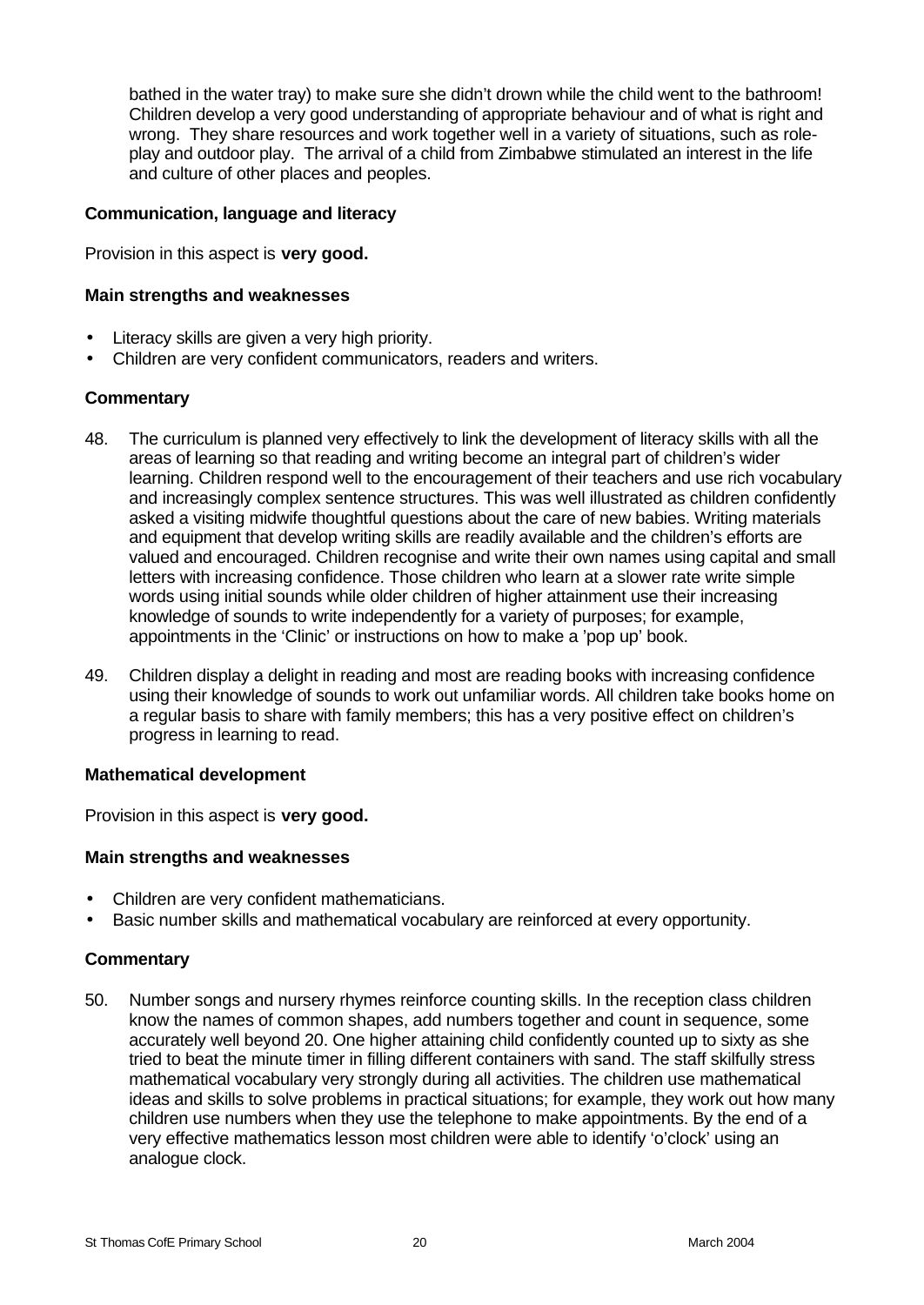bathed in the water tray) to make sure she didn't drown while the child went to the bathroom! Children develop a very good understanding of appropriate behaviour and of what is right and wrong. They share resources and work together well in a variety of situations, such as roleplay and outdoor play. The arrival of a child from Zimbabwe stimulated an interest in the life and culture of other places and peoples.

#### **Communication, language and literacy**

Provision in this aspect is **very good.**

#### **Main strengths and weaknesses**

- Literacy skills are given a very high priority.
- Children are very confident communicators, readers and writers.

#### **Commentary**

- 48. The curriculum is planned very effectively to link the development of literacy skills with all the areas of learning so that reading and writing become an integral part of children's wider learning. Children respond well to the encouragement of their teachers and use rich vocabulary and increasingly complex sentence structures. This was well illustrated as children confidently asked a visiting midwife thoughtful questions about the care of new babies. Writing materials and equipment that develop writing skills are readily available and the children's efforts are valued and encouraged. Children recognise and write their own names using capital and small letters with increasing confidence. Those children who learn at a slower rate write simple words using initial sounds while older children of higher attainment use their increasing knowledge of sounds to write independently for a variety of purposes; for example, appointments in the 'Clinic' or instructions on how to make a 'pop up' book.
- 49. Children display a delight in reading and most are reading books with increasing confidence using their knowledge of sounds to work out unfamiliar words. All children take books home on a regular basis to share with family members; this has a very positive effect on children's progress in learning to read.

#### **Mathematical development**

Provision in this aspect is **very good.**

#### **Main strengths and weaknesses**

- Children are very confident mathematicians.
- Basic number skills and mathematical vocabulary are reinforced at every opportunity.

#### **Commentary**

50. Number songs and nursery rhymes reinforce counting skills. In the reception class children know the names of common shapes, add numbers together and count in sequence, some accurately well beyond 20. One higher attaining child confidently counted up to sixty as she tried to beat the minute timer in filling different containers with sand. The staff skilfully stress mathematical vocabulary very strongly during all activities. The children use mathematical ideas and skills to solve problems in practical situations; for example, they work out how many children use numbers when they use the telephone to make appointments. By the end of a very effective mathematics lesson most children were able to identify 'o'clock' using an analogue clock.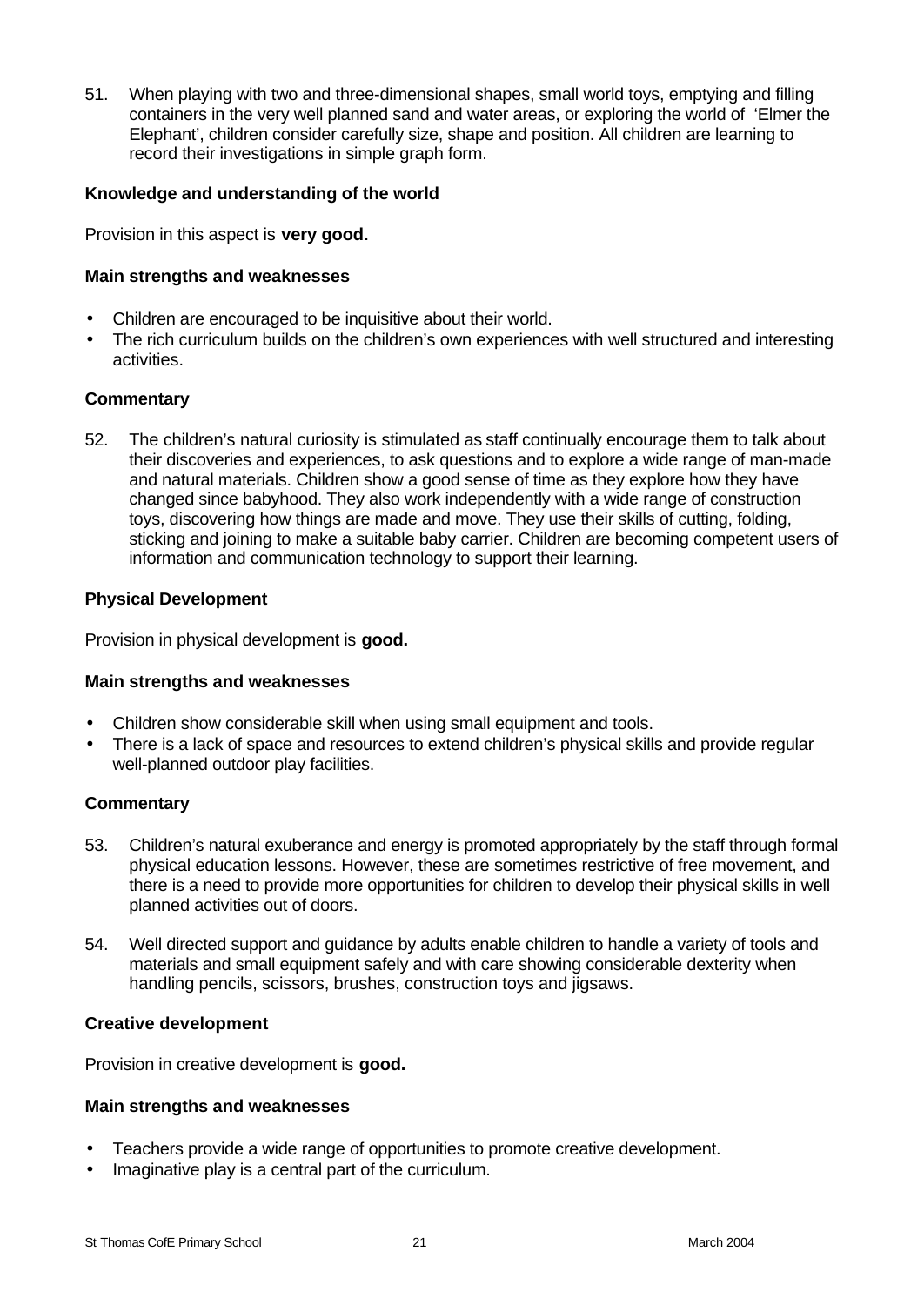51. When playing with two and three-dimensional shapes, small world toys, emptying and filling containers in the very well planned sand and water areas, or exploring the world of 'Elmer the Elephant', children consider carefully size, shape and position. All children are learning to record their investigations in simple graph form.

#### **Knowledge and understanding of the world**

Provision in this aspect is **very good.**

#### **Main strengths and weaknesses**

- Children are encouraged to be inquisitive about their world.
- The rich curriculum builds on the children's own experiences with well structured and interesting activities.

#### **Commentary**

52. The children's natural curiosity is stimulated as staff continually encourage them to talk about their discoveries and experiences, to ask questions and to explore a wide range of man-made and natural materials. Children show a good sense of time as they explore how they have changed since babyhood. They also work independently with a wide range of construction toys, discovering how things are made and move. They use their skills of cutting, folding, sticking and joining to make a suitable baby carrier. Children are becoming competent users of information and communication technology to support their learning.

#### **Physical Development**

Provision in physical development is **good.**

#### **Main strengths and weaknesses**

- Children show considerable skill when using small equipment and tools.
- There is a lack of space and resources to extend children's physical skills and provide regular well-planned outdoor play facilities.

#### **Commentary**

- 53. Children's natural exuberance and energy is promoted appropriately by the staff through formal physical education lessons. However, these are sometimes restrictive of free movement, and there is a need to provide more opportunities for children to develop their physical skills in well planned activities out of doors.
- 54. Well directed support and guidance by adults enable children to handle a variety of tools and materials and small equipment safely and with care showing considerable dexterity when handling pencils, scissors, brushes, construction toys and jigsaws.

#### **Creative development**

Provision in creative development is **good.**

#### **Main strengths and weaknesses**

- Teachers provide a wide range of opportunities to promote creative development.
- Imaginative play is a central part of the curriculum.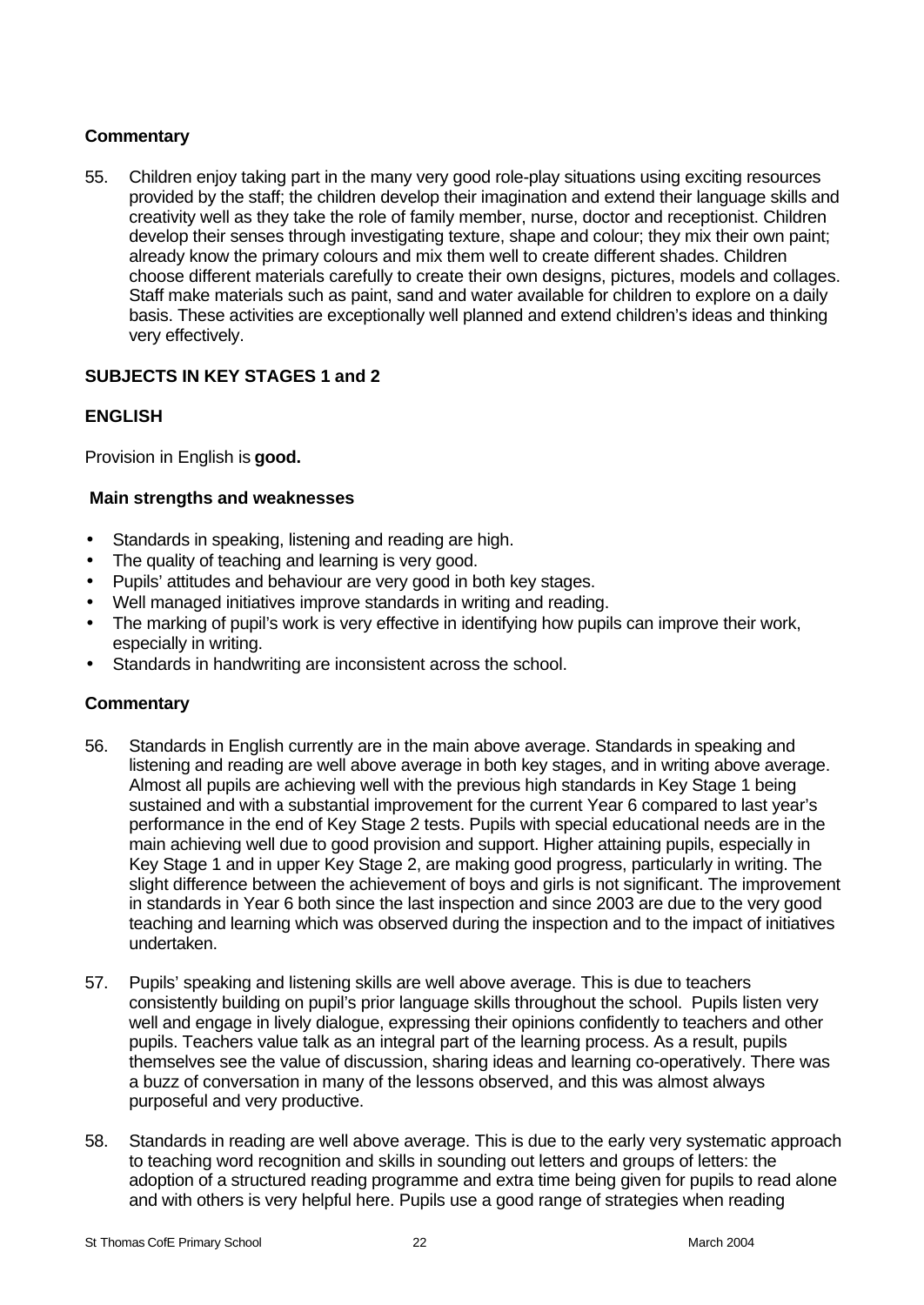# **Commentary**

55. Children enjoy taking part in the many very good role-play situations using exciting resources provided by the staff; the children develop their imagination and extend their language skills and creativity well as they take the role of family member, nurse, doctor and receptionist. Children develop their senses through investigating texture, shape and colour; they mix their own paint; already know the primary colours and mix them well to create different shades. Children choose different materials carefully to create their own designs, pictures, models and collages. Staff make materials such as paint, sand and water available for children to explore on a daily basis. These activities are exceptionally well planned and extend children's ideas and thinking very effectively.

# **SUBJECTS IN KEY STAGES 1 and 2**

# **ENGLISH**

Provision in English is **good.**

#### **Main strengths and weaknesses**

- Standards in speaking, listening and reading are high.
- The quality of teaching and learning is very good.
- Pupils' attitudes and behaviour are very good in both key stages.
- Well managed initiatives improve standards in writing and reading.
- The marking of pupil's work is very effective in identifying how pupils can improve their work, especially in writing.
- Standards in handwriting are inconsistent across the school.

- 56. Standards in English currently are in the main above average. Standards in speaking and listening and reading are well above average in both key stages, and in writing above average. Almost all pupils are achieving well with the previous high standards in Key Stage 1 being sustained and with a substantial improvement for the current Year 6 compared to last year's performance in the end of Key Stage 2 tests. Pupils with special educational needs are in the main achieving well due to good provision and support. Higher attaining pupils, especially in Key Stage 1 and in upper Key Stage 2, are making good progress, particularly in writing. The slight difference between the achievement of boys and girls is not significant. The improvement in standards in Year 6 both since the last inspection and since 2003 are due to the very good teaching and learning which was observed during the inspection and to the impact of initiatives undertaken.
- 57. Pupils' speaking and listening skills are well above average. This is due to teachers consistently building on pupil's prior language skills throughout the school. Pupils listen very well and engage in lively dialogue, expressing their opinions confidently to teachers and other pupils. Teachers value talk as an integral part of the learning process. As a result, pupils themselves see the value of discussion, sharing ideas and learning co-operatively. There was a buzz of conversation in many of the lessons observed, and this was almost always purposeful and very productive.
- 58. Standards in reading are well above average. This is due to the early very systematic approach to teaching word recognition and skills in sounding out letters and groups of letters: the adoption of a structured reading programme and extra time being given for pupils to read alone and with others is very helpful here. Pupils use a good range of strategies when reading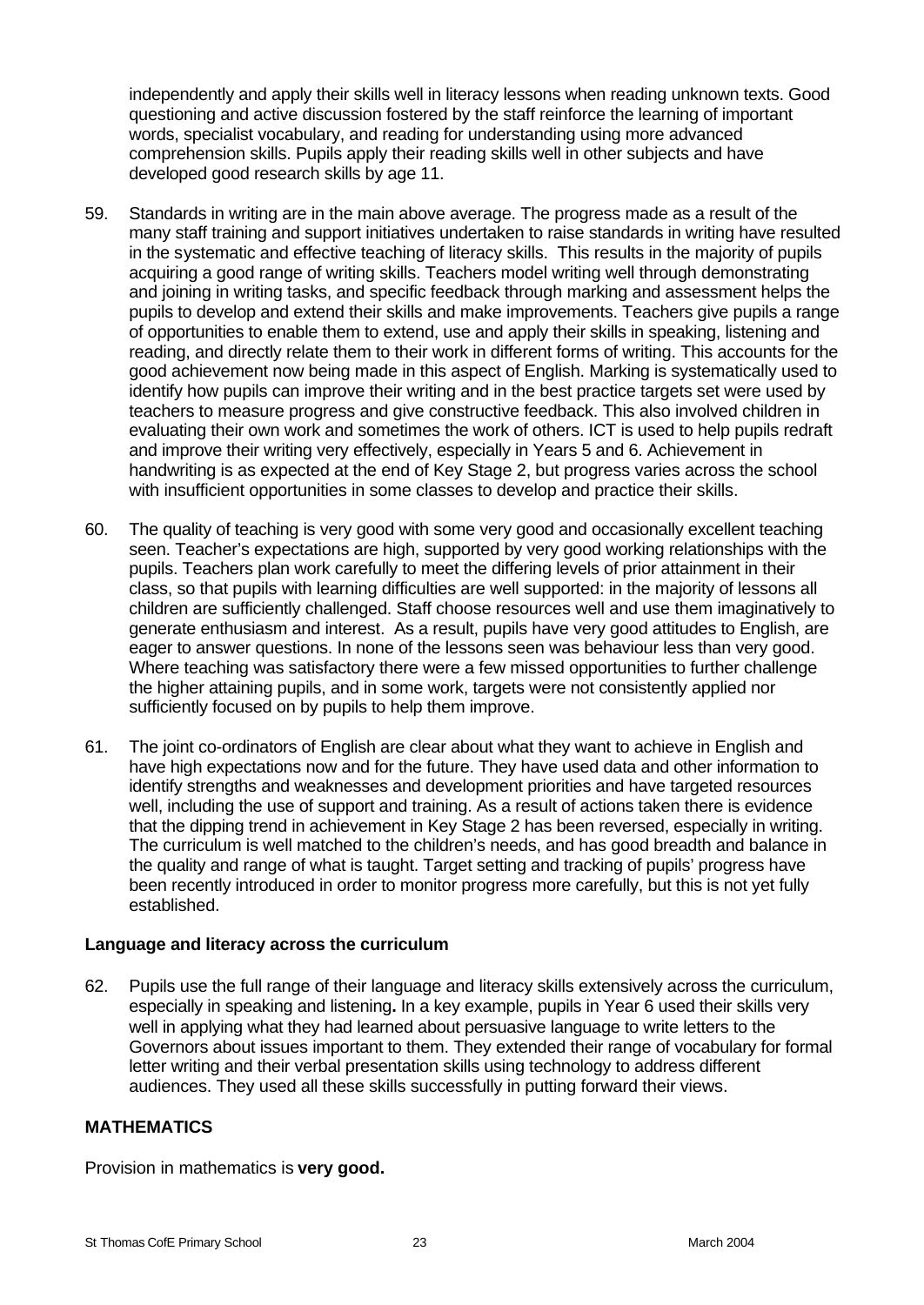independently and apply their skills well in literacy lessons when reading unknown texts. Good questioning and active discussion fostered by the staff reinforce the learning of important words, specialist vocabulary, and reading for understanding using more advanced comprehension skills. Pupils apply their reading skills well in other subjects and have developed good research skills by age 11.

- 59. Standards in writing are in the main above average. The progress made as a result of the many staff training and support initiatives undertaken to raise standards in writing have resulted in the systematic and effective teaching of literacy skills. This results in the majority of pupils acquiring a good range of writing skills. Teachers model writing well through demonstrating and joining in writing tasks, and specific feedback through marking and assessment helps the pupils to develop and extend their skills and make improvements. Teachers give pupils a range of opportunities to enable them to extend, use and apply their skills in speaking, listening and reading, and directly relate them to their work in different forms of writing. This accounts for the good achievement now being made in this aspect of English. Marking is systematically used to identify how pupils can improve their writing and in the best practice targets set were used by teachers to measure progress and give constructive feedback. This also involved children in evaluating their own work and sometimes the work of others. ICT is used to help pupils redraft and improve their writing very effectively, especially in Years 5 and 6. Achievement in handwriting is as expected at the end of Key Stage 2, but progress varies across the school with insufficient opportunities in some classes to develop and practice their skills.
- 60. The quality of teaching is very good with some very good and occasionally excellent teaching seen. Teacher's expectations are high, supported by very good working relationships with the pupils. Teachers plan work carefully to meet the differing levels of prior attainment in their class, so that pupils with learning difficulties are well supported: in the majority of lessons all children are sufficiently challenged. Staff choose resources well and use them imaginatively to generate enthusiasm and interest. As a result, pupils have very good attitudes to English, are eager to answer questions. In none of the lessons seen was behaviour less than very good. Where teaching was satisfactory there were a few missed opportunities to further challenge the higher attaining pupils, and in some work, targets were not consistently applied nor sufficiently focused on by pupils to help them improve.
- 61. The joint co-ordinators of English are clear about what they want to achieve in English and have high expectations now and for the future. They have used data and other information to identify strengths and weaknesses and development priorities and have targeted resources well, including the use of support and training. As a result of actions taken there is evidence that the dipping trend in achievement in Key Stage 2 has been reversed, especially in writing. The curriculum is well matched to the children's needs, and has good breadth and balance in the quality and range of what is taught. Target setting and tracking of pupils' progress have been recently introduced in order to monitor progress more carefully, but this is not yet fully established.

#### **Language and literacy across the curriculum**

62. Pupils use the full range of their language and literacy skills extensively across the curriculum, especially in speaking and listening**.** In a key example, pupils in Year 6 used their skills very well in applying what they had learned about persuasive language to write letters to the Governors about issues important to them. They extended their range of vocabulary for formal letter writing and their verbal presentation skills using technology to address different audiences. They used all these skills successfully in putting forward their views.

#### **MATHEMATICS**

Provision in mathematics is **very good.**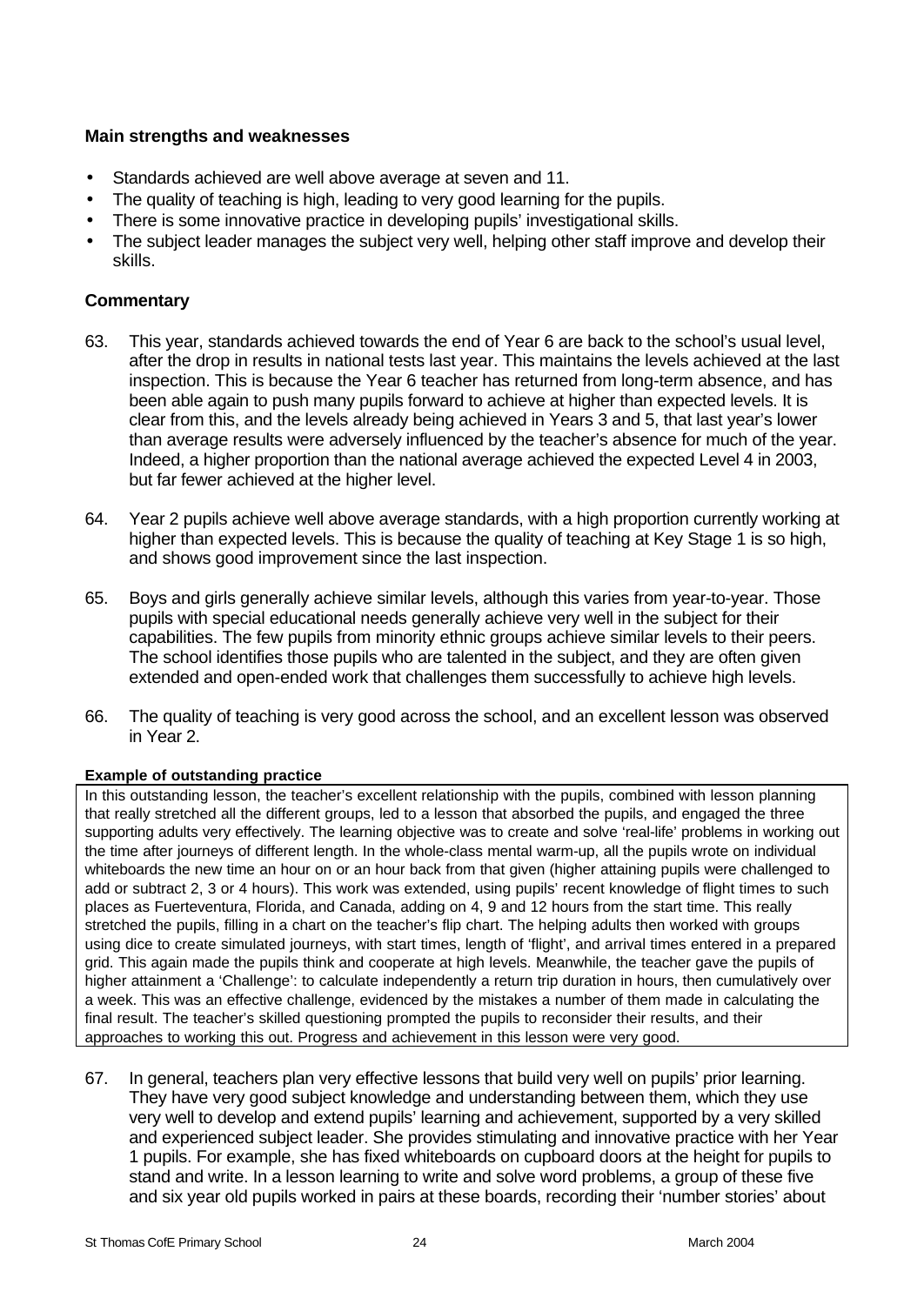# **Main strengths and weaknesses**

- Standards achieved are well above average at seven and 11.
- The quality of teaching is high, leading to very good learning for the pupils.
- There is some innovative practice in developing pupils' investigational skills.
- The subject leader manages the subject very well, helping other staff improve and develop their skills.

# **Commentary**

- 63. This year, standards achieved towards the end of Year 6 are back to the school's usual level, after the drop in results in national tests last year. This maintains the levels achieved at the last inspection. This is because the Year 6 teacher has returned from long-term absence, and has been able again to push many pupils forward to achieve at higher than expected levels. It is clear from this, and the levels already being achieved in Years 3 and 5, that last year's lower than average results were adversely influenced by the teacher's absence for much of the year. Indeed, a higher proportion than the national average achieved the expected Level 4 in 2003, but far fewer achieved at the higher level.
- 64. Year 2 pupils achieve well above average standards, with a high proportion currently working at higher than expected levels. This is because the quality of teaching at Key Stage 1 is so high, and shows good improvement since the last inspection.
- 65. Boys and girls generally achieve similar levels, although this varies from year-to-year. Those pupils with special educational needs generally achieve very well in the subject for their capabilities. The few pupils from minority ethnic groups achieve similar levels to their peers. The school identifies those pupils who are talented in the subject, and they are often given extended and open-ended work that challenges them successfully to achieve high levels.
- 66. The quality of teaching is very good across the school, and an excellent lesson was observed in Year 2.

# **Example of outstanding practice**

In this outstanding lesson, the teacher's excellent relationship with the pupils, combined with lesson planning that really stretched all the different groups, led to a lesson that absorbed the pupils, and engaged the three supporting adults very effectively. The learning objective was to create and solve 'real-life' problems in working out the time after journeys of different length. In the whole-class mental warm-up, all the pupils wrote on individual whiteboards the new time an hour on or an hour back from that given (higher attaining pupils were challenged to add or subtract 2, 3 or 4 hours). This work was extended, using pupils' recent knowledge of flight times to such places as Fuerteventura, Florida, and Canada, adding on 4, 9 and 12 hours from the start time. This really stretched the pupils, filling in a chart on the teacher's flip chart. The helping adults then worked with groups using dice to create simulated journeys, with start times, length of 'flight', and arrival times entered in a prepared grid. This again made the pupils think and cooperate at high levels. Meanwhile, the teacher gave the pupils of higher attainment a 'Challenge': to calculate independently a return trip duration in hours, then cumulatively over a week. This was an effective challenge, evidenced by the mistakes a number of them made in calculating the final result. The teacher's skilled questioning prompted the pupils to reconsider their results, and their approaches to working this out. Progress and achievement in this lesson were very good.

67. In general, teachers plan very effective lessons that build very well on pupils' prior learning. They have very good subject knowledge and understanding between them, which they use very well to develop and extend pupils' learning and achievement, supported by a very skilled and experienced subject leader. She provides stimulating and innovative practice with her Year 1 pupils. For example, she has fixed whiteboards on cupboard doors at the height for pupils to stand and write. In a lesson learning to write and solve word problems, a group of these five and six year old pupils worked in pairs at these boards, recording their 'number stories' about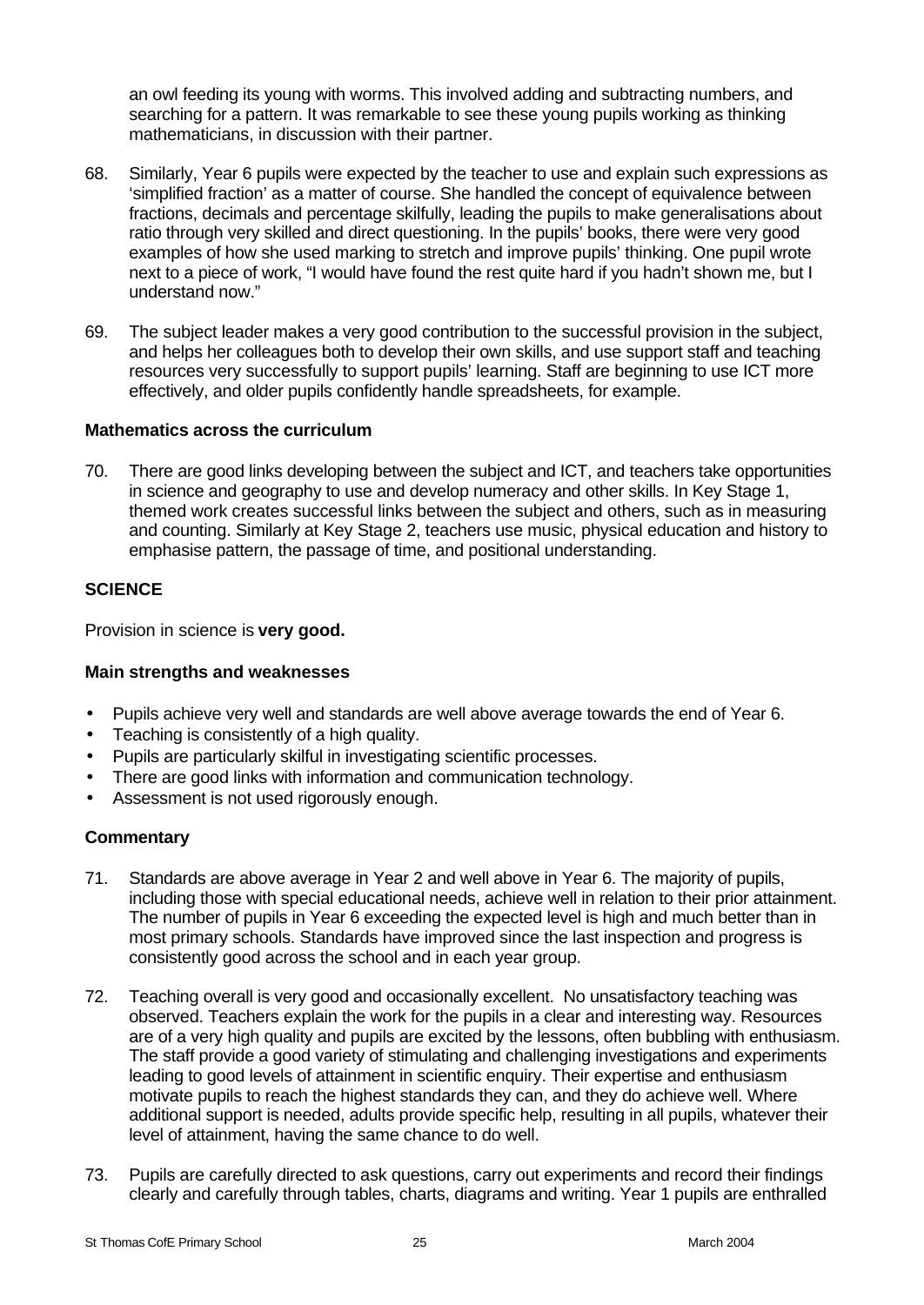an owl feeding its young with worms. This involved adding and subtracting numbers, and searching for a pattern. It was remarkable to see these young pupils working as thinking mathematicians, in discussion with their partner.

- 68. Similarly, Year 6 pupils were expected by the teacher to use and explain such expressions as 'simplified fraction' as a matter of course. She handled the concept of equivalence between fractions, decimals and percentage skilfully, leading the pupils to make generalisations about ratio through very skilled and direct questioning. In the pupils' books, there were very good examples of how she used marking to stretch and improve pupils' thinking. One pupil wrote next to a piece of work, "I would have found the rest quite hard if you hadn't shown me, but I understand now."
- 69. The subject leader makes a very good contribution to the successful provision in the subject, and helps her colleagues both to develop their own skills, and use support staff and teaching resources very successfully to support pupils' learning. Staff are beginning to use ICT more effectively, and older pupils confidently handle spreadsheets, for example.

# **Mathematics across the curriculum**

70. There are good links developing between the subject and ICT, and teachers take opportunities in science and geography to use and develop numeracy and other skills. In Key Stage 1, themed work creates successful links between the subject and others, such as in measuring and counting. Similarly at Key Stage 2, teachers use music, physical education and history to emphasise pattern, the passage of time, and positional understanding.

# **SCIENCE**

Provision in science is **very good.**

# **Main strengths and weaknesses**

- Pupils achieve very well and standards are well above average towards the end of Year 6.
- Teaching is consistently of a high quality.
- Pupils are particularly skilful in investigating scientific processes.
- There are good links with information and communication technology.
- Assessment is not used rigorously enough.

- 71. Standards are above average in Year 2 and well above in Year 6. The majority of pupils, including those with special educational needs, achieve well in relation to their prior attainment. The number of pupils in Year 6 exceeding the expected level is high and much better than in most primary schools. Standards have improved since the last inspection and progress is consistently good across the school and in each year group.
- 72. Teaching overall is very good and occasionally excellent. No unsatisfactory teaching was observed. Teachers explain the work for the pupils in a clear and interesting way. Resources are of a very high quality and pupils are excited by the lessons, often bubbling with enthusiasm. The staff provide a good variety of stimulating and challenging investigations and experiments leading to good levels of attainment in scientific enquiry. Their expertise and enthusiasm motivate pupils to reach the highest standards they can, and they do achieve well. Where additional support is needed, adults provide specific help, resulting in all pupils, whatever their level of attainment, having the same chance to do well.
- 73. Pupils are carefully directed to ask questions, carry out experiments and record their findings clearly and carefully through tables, charts, diagrams and writing. Year 1 pupils are enthralled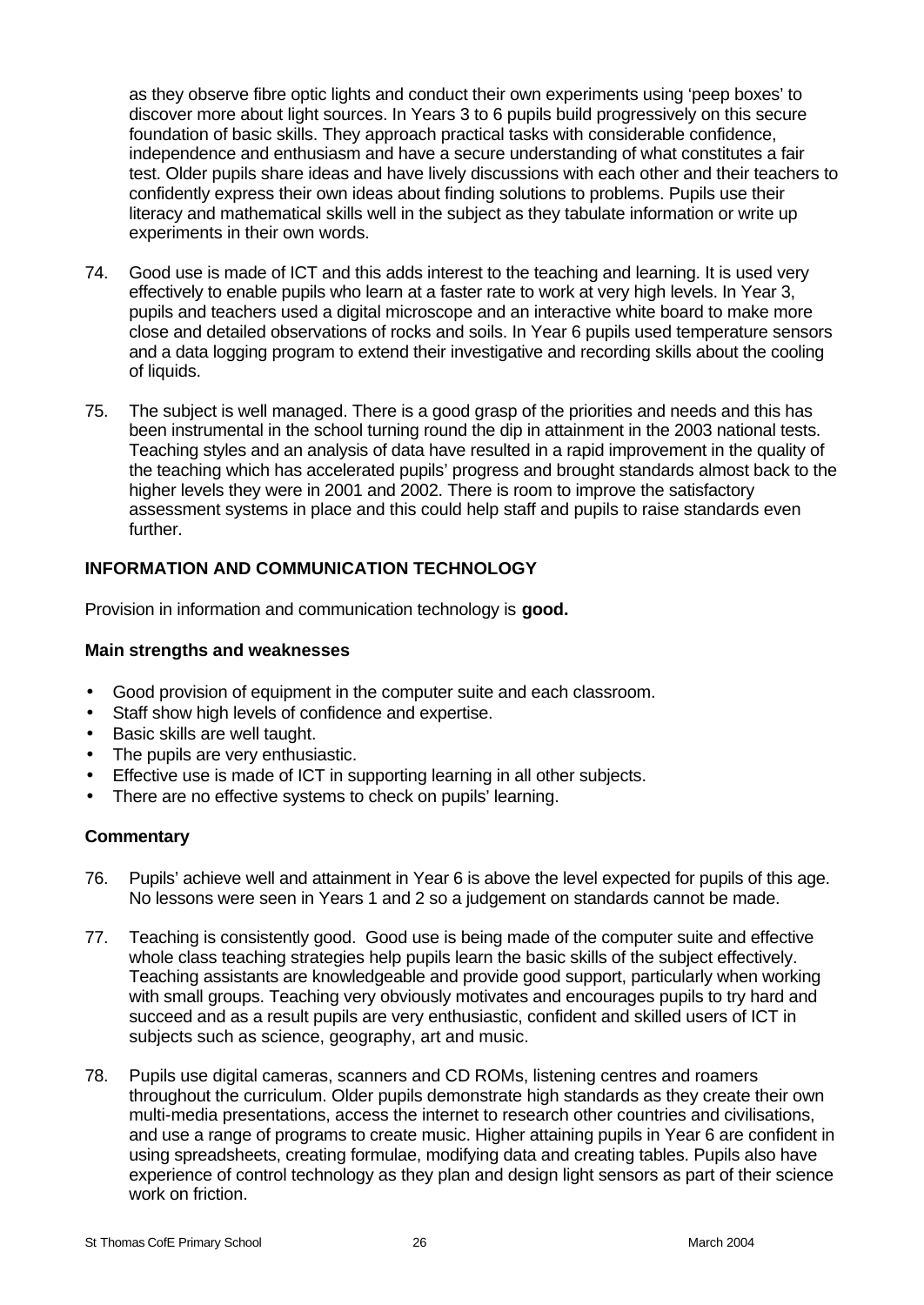as they observe fibre optic lights and conduct their own experiments using 'peep boxes' to discover more about light sources. In Years 3 to 6 pupils build progressively on this secure foundation of basic skills. They approach practical tasks with considerable confidence, independence and enthusiasm and have a secure understanding of what constitutes a fair test. Older pupils share ideas and have lively discussions with each other and their teachers to confidently express their own ideas about finding solutions to problems. Pupils use their literacy and mathematical skills well in the subject as they tabulate information or write up experiments in their own words.

- 74. Good use is made of ICT and this adds interest to the teaching and learning. It is used very effectively to enable pupils who learn at a faster rate to work at very high levels. In Year 3, pupils and teachers used a digital microscope and an interactive white board to make more close and detailed observations of rocks and soils. In Year 6 pupils used temperature sensors and a data logging program to extend their investigative and recording skills about the cooling of liquids.
- 75. The subject is well managed. There is a good grasp of the priorities and needs and this has been instrumental in the school turning round the dip in attainment in the 2003 national tests. Teaching styles and an analysis of data have resulted in a rapid improvement in the quality of the teaching which has accelerated pupils' progress and brought standards almost back to the higher levels they were in 2001 and 2002. There is room to improve the satisfactory assessment systems in place and this could help staff and pupils to raise standards even further.

# **INFORMATION AND COMMUNICATION TECHNOLOGY**

Provision in information and communication technology is **good.**

# **Main strengths and weaknesses**

- Good provision of equipment in the computer suite and each classroom.
- Staff show high levels of confidence and expertise.
- Basic skills are well taught.
- The pupils are very enthusiastic.
- Effective use is made of ICT in supporting learning in all other subjects.
- There are no effective systems to check on pupils' learning.

- 76. Pupils' achieve well and attainment in Year 6 is above the level expected for pupils of this age. No lessons were seen in Years 1 and 2 so a judgement on standards cannot be made.
- 77. Teaching is consistently good. Good use is being made of the computer suite and effective whole class teaching strategies help pupils learn the basic skills of the subject effectively. Teaching assistants are knowledgeable and provide good support, particularly when working with small groups. Teaching very obviously motivates and encourages pupils to try hard and succeed and as a result pupils are very enthusiastic, confident and skilled users of ICT in subjects such as science, geography, art and music.
- 78. Pupils use digital cameras, scanners and CD ROMs, listening centres and roamers throughout the curriculum. Older pupils demonstrate high standards as they create their own multi-media presentations, access the internet to research other countries and civilisations, and use a range of programs to create music. Higher attaining pupils in Year 6 are confident in using spreadsheets, creating formulae, modifying data and creating tables. Pupils also have experience of control technology as they plan and design light sensors as part of their science work on friction.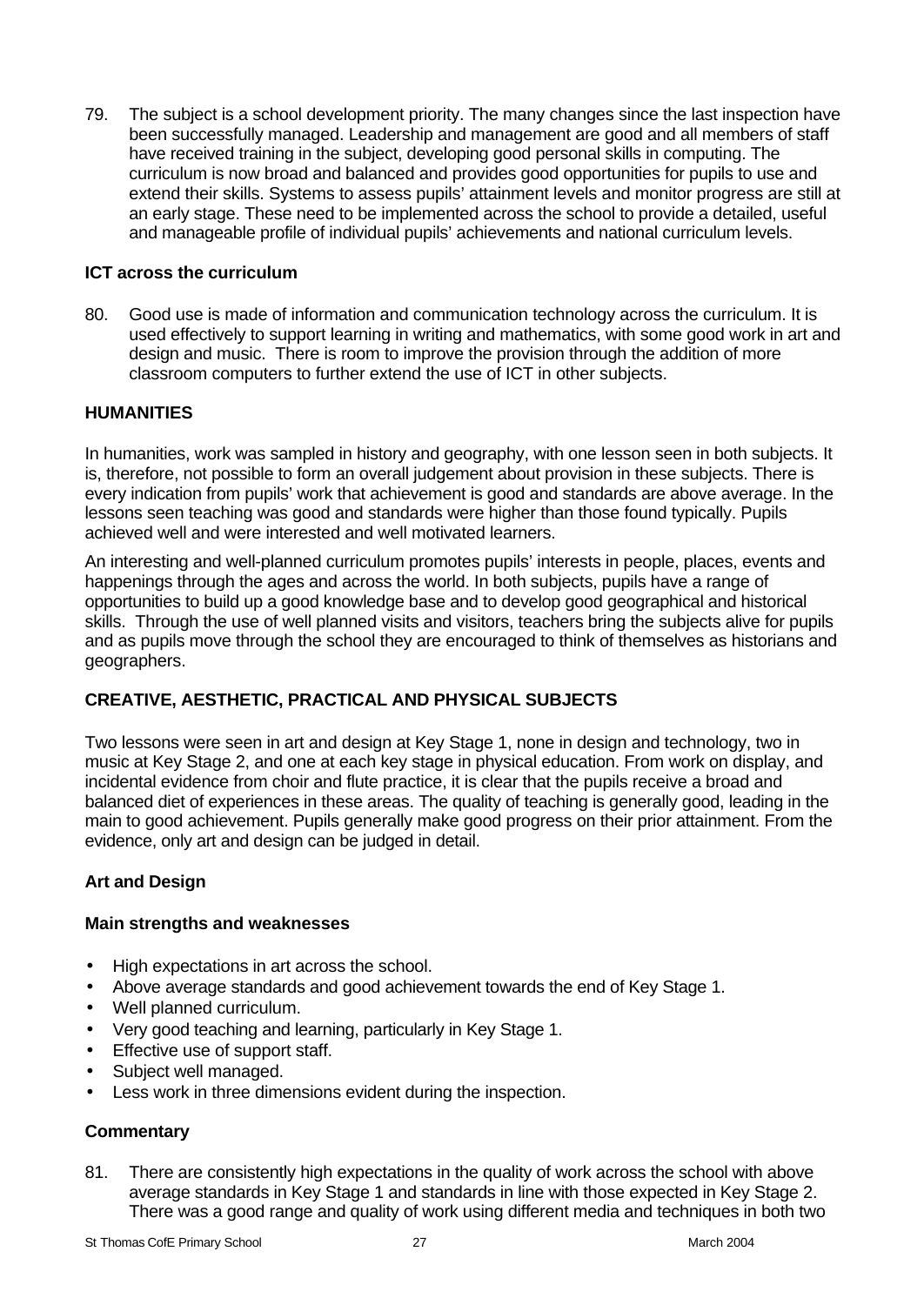79. The subject is a school development priority. The many changes since the last inspection have been successfully managed. Leadership and management are good and all members of staff have received training in the subject, developing good personal skills in computing. The curriculum is now broad and balanced and provides good opportunities for pupils to use and extend their skills. Systems to assess pupils' attainment levels and monitor progress are still at an early stage. These need to be implemented across the school to provide a detailed, useful and manageable profile of individual pupils' achievements and national curriculum levels.

## **ICT across the curriculum**

80. Good use is made of information and communication technology across the curriculum. It is used effectively to support learning in writing and mathematics, with some good work in art and design and music. There is room to improve the provision through the addition of more classroom computers to further extend the use of ICT in other subjects.

# **HUMANITIES**

In humanities, work was sampled in history and geography, with one lesson seen in both subjects. It is, therefore, not possible to form an overall judgement about provision in these subjects. There is every indication from pupils' work that achievement is good and standards are above average. In the lessons seen teaching was good and standards were higher than those found typically. Pupils achieved well and were interested and well motivated learners.

An interesting and well-planned curriculum promotes pupils' interests in people, places, events and happenings through the ages and across the world. In both subjects, pupils have a range of opportunities to build up a good knowledge base and to develop good geographical and historical skills. Through the use of well planned visits and visitors, teachers bring the subjects alive for pupils and as pupils move through the school they are encouraged to think of themselves as historians and geographers.

# **CREATIVE, AESTHETIC, PRACTICAL AND PHYSICAL SUBJECTS**

Two lessons were seen in art and design at Key Stage 1, none in design and technology, two in music at Key Stage 2, and one at each key stage in physical education. From work on display, and incidental evidence from choir and flute practice, it is clear that the pupils receive a broad and balanced diet of experiences in these areas. The quality of teaching is generally good, leading in the main to good achievement. Pupils generally make good progress on their prior attainment. From the evidence, only art and design can be judged in detail.

# **Art and Design**

#### **Main strengths and weaknesses**

- High expectations in art across the school.
- Above average standards and good achievement towards the end of Key Stage 1.
- Well planned curriculum.
- Very good teaching and learning, particularly in Key Stage 1.
- Effective use of support staff.
- Subject well managed.
- Less work in three dimensions evident during the inspection.

# **Commentary**

81. There are consistently high expectations in the quality of work across the school with above average standards in Key Stage 1 and standards in line with those expected in Key Stage 2. There was a good range and quality of work using different media and techniques in both two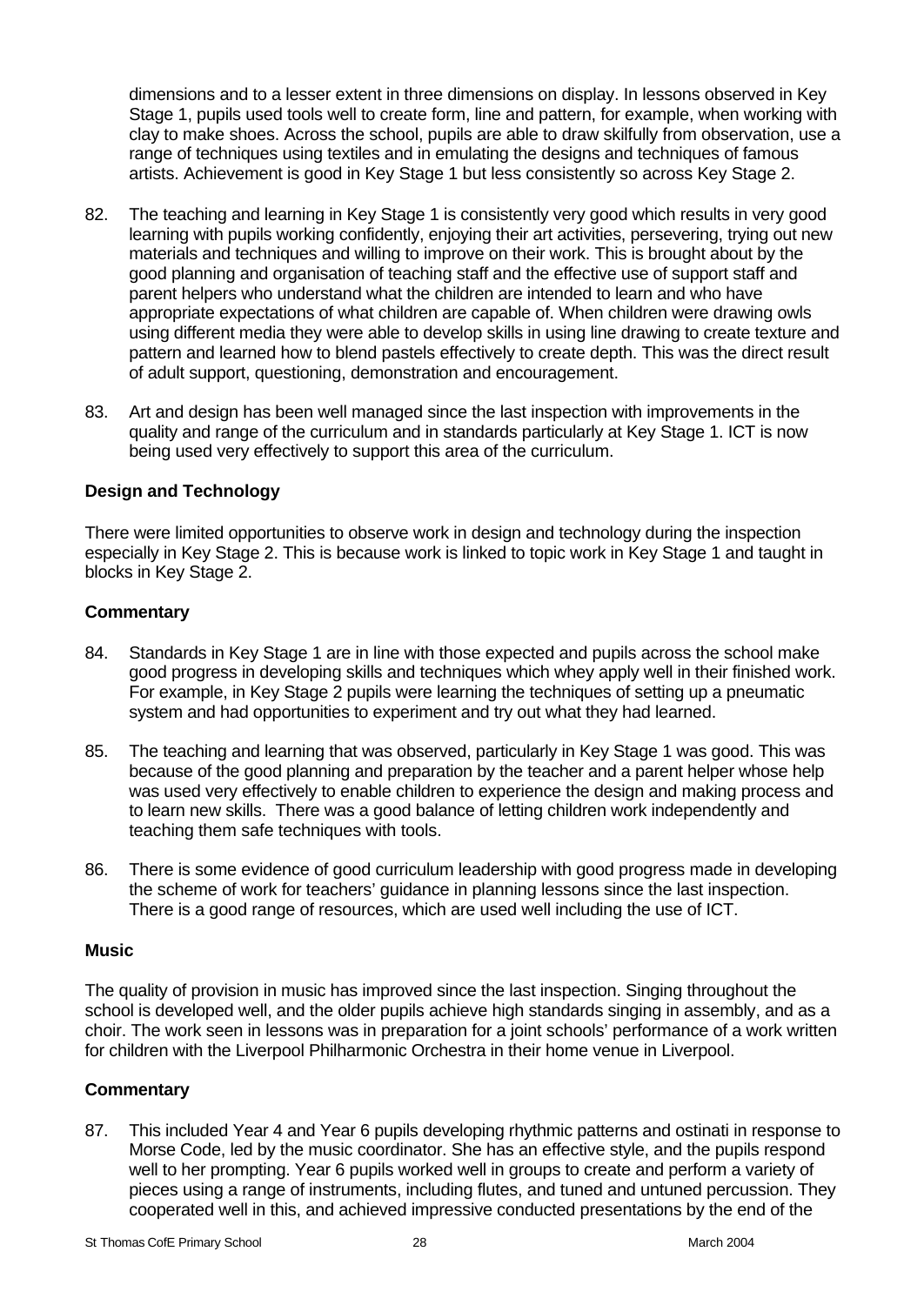dimensions and to a lesser extent in three dimensions on display. In lessons observed in Key Stage 1, pupils used tools well to create form, line and pattern, for example, when working with clay to make shoes. Across the school, pupils are able to draw skilfully from observation, use a range of techniques using textiles and in emulating the designs and techniques of famous artists. Achievement is good in Key Stage 1 but less consistently so across Key Stage 2.

- 82. The teaching and learning in Key Stage 1 is consistently very good which results in very good learning with pupils working confidently, enjoying their art activities, persevering, trying out new materials and techniques and willing to improve on their work. This is brought about by the good planning and organisation of teaching staff and the effective use of support staff and parent helpers who understand what the children are intended to learn and who have appropriate expectations of what children are capable of. When children were drawing owls using different media they were able to develop skills in using line drawing to create texture and pattern and learned how to blend pastels effectively to create depth. This was the direct result of adult support, questioning, demonstration and encouragement.
- 83. Art and design has been well managed since the last inspection with improvements in the quality and range of the curriculum and in standards particularly at Key Stage 1. ICT is now being used very effectively to support this area of the curriculum.

#### **Design and Technology**

There were limited opportunities to observe work in design and technology during the inspection especially in Key Stage 2. This is because work is linked to topic work in Key Stage 1 and taught in blocks in Key Stage 2.

# **Commentary**

- 84. Standards in Key Stage 1 are in line with those expected and pupils across the school make good progress in developing skills and techniques which whey apply well in their finished work. For example, in Key Stage 2 pupils were learning the techniques of setting up a pneumatic system and had opportunities to experiment and try out what they had learned.
- 85. The teaching and learning that was observed, particularly in Key Stage 1 was good. This was because of the good planning and preparation by the teacher and a parent helper whose help was used very effectively to enable children to experience the design and making process and to learn new skills. There was a good balance of letting children work independently and teaching them safe techniques with tools.
- 86. There is some evidence of good curriculum leadership with good progress made in developing the scheme of work for teachers' guidance in planning lessons since the last inspection. There is a good range of resources, which are used well including the use of ICT.

#### **Music**

The quality of provision in music has improved since the last inspection. Singing throughout the school is developed well, and the older pupils achieve high standards singing in assembly, and as a choir. The work seen in lessons was in preparation for a joint schools' performance of a work written for children with the Liverpool Philharmonic Orchestra in their home venue in Liverpool.

#### **Commentary**

87. This included Year 4 and Year 6 pupils developing rhythmic patterns and ostinati in response to Morse Code, led by the music coordinator. She has an effective style, and the pupils respond well to her prompting. Year 6 pupils worked well in groups to create and perform a variety of pieces using a range of instruments, including flutes, and tuned and untuned percussion. They cooperated well in this, and achieved impressive conducted presentations by the end of the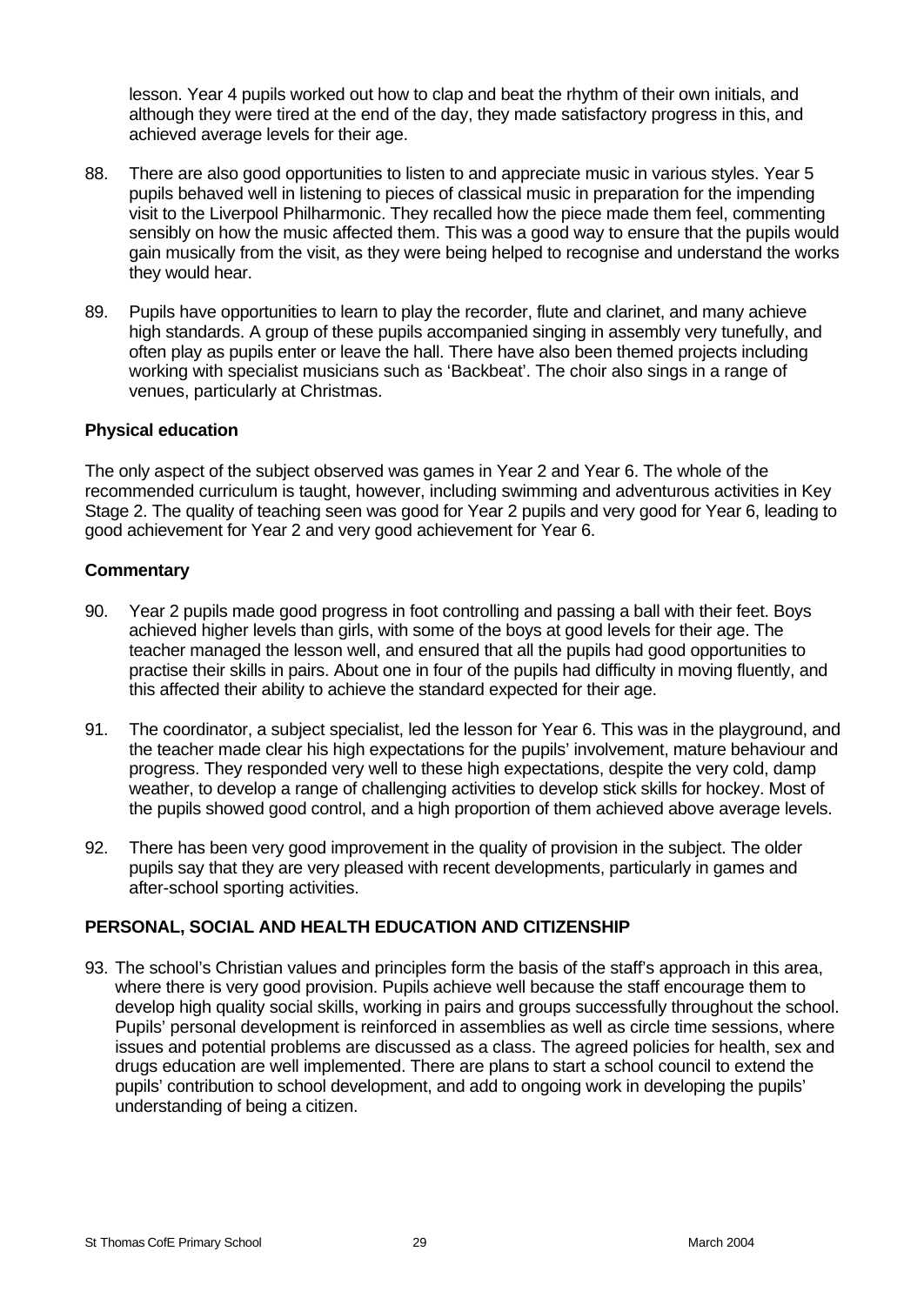lesson. Year 4 pupils worked out how to clap and beat the rhythm of their own initials, and although they were tired at the end of the day, they made satisfactory progress in this, and achieved average levels for their age.

- 88. There are also good opportunities to listen to and appreciate music in various styles. Year 5 pupils behaved well in listening to pieces of classical music in preparation for the impending visit to the Liverpool Philharmonic. They recalled how the piece made them feel, commenting sensibly on how the music affected them. This was a good way to ensure that the pupils would gain musically from the visit, as they were being helped to recognise and understand the works they would hear.
- 89. Pupils have opportunities to learn to play the recorder, flute and clarinet, and many achieve high standards. A group of these pupils accompanied singing in assembly very tunefully, and often play as pupils enter or leave the hall. There have also been themed projects including working with specialist musicians such as 'Backbeat'. The choir also sings in a range of venues, particularly at Christmas.

#### **Physical education**

The only aspect of the subject observed was games in Year 2 and Year 6. The whole of the recommended curriculum is taught, however, including swimming and adventurous activities in Key Stage 2. The quality of teaching seen was good for Year 2 pupils and very good for Year 6, leading to good achievement for Year 2 and very good achievement for Year 6.

#### **Commentary**

- 90. Year 2 pupils made good progress in foot controlling and passing a ball with their feet. Boys achieved higher levels than girls, with some of the boys at good levels for their age. The teacher managed the lesson well, and ensured that all the pupils had good opportunities to practise their skills in pairs. About one in four of the pupils had difficulty in moving fluently, and this affected their ability to achieve the standard expected for their age.
- 91. The coordinator, a subject specialist, led the lesson for Year 6. This was in the playground, and the teacher made clear his high expectations for the pupils' involvement, mature behaviour and progress. They responded very well to these high expectations, despite the very cold, damp weather, to develop a range of challenging activities to develop stick skills for hockey. Most of the pupils showed good control, and a high proportion of them achieved above average levels.
- 92. There has been very good improvement in the quality of provision in the subject. The older pupils say that they are very pleased with recent developments, particularly in games and after-school sporting activities.

#### **PERSONAL, SOCIAL AND HEALTH EDUCATION AND CITIZENSHIP**

93. The school's Christian values and principles form the basis of the staff's approach in this area, where there is very good provision. Pupils achieve well because the staff encourage them to develop high quality social skills, working in pairs and groups successfully throughout the school. Pupils' personal development is reinforced in assemblies as well as circle time sessions, where issues and potential problems are discussed as a class. The agreed policies for health, sex and drugs education are well implemented. There are plans to start a school council to extend the pupils' contribution to school development, and add to ongoing work in developing the pupils' understanding of being a citizen.